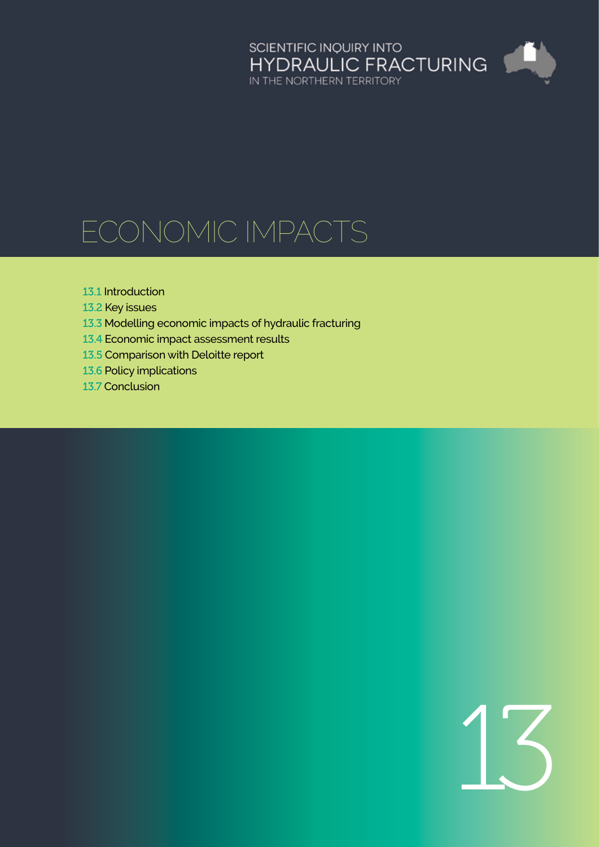# SCIENTIFIC INQUIRY INTO<br>HYDRAULIC FRACTURING<br>IN THE NORTHERN TERRITORY <u>an</u>

# Economic impacts

#### 13.1 [Introduction](#page-1-0)

- 13.2 [Key issues](#page-1-0)
- 13.3 [Modelling economic impacts of hydraulic fracturing](#page-6-0)
- 13.4 [Economic impact assessment results](#page-11-0)
- 13.5 [Comparison with Deloitte report](#page-16-0)
- 13.6 [Policy implications](#page-18-0)
- 13.7 [Conclusion](#page-24-0)

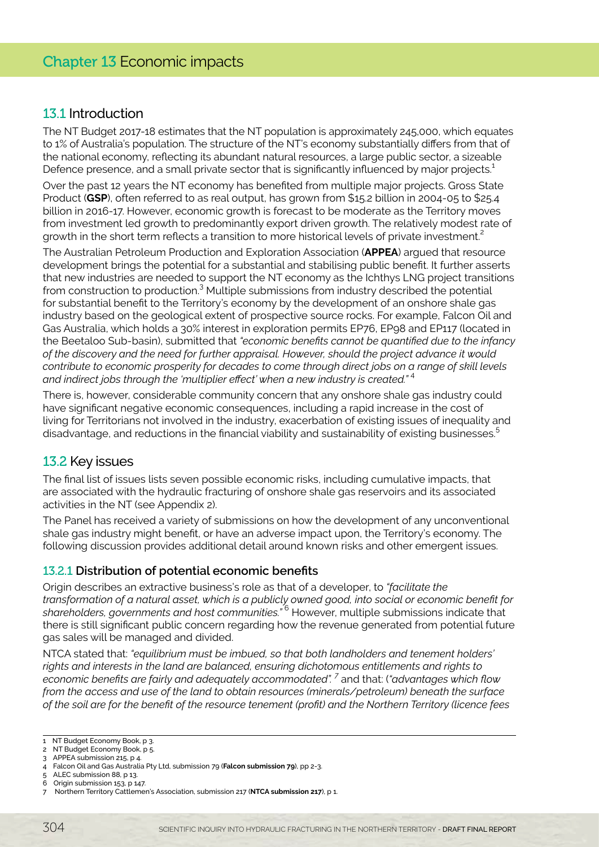# <span id="page-1-0"></span>13.1 Introduction

The NT Budget 2017-18 estimates that the NT population is approximately 245,000, which equates to 1% of Australia's population. The structure of the NT's economy substantially differs from that of the national economy, reflecting its abundant natural resources, a large public sector, a sizeable Defence presence, and a small private sector that is significantly influenced by major projects.<sup>1</sup>

Over the past 12 years the NT economy has benefited from multiple major projects. Gross State Product (**GSP**), often referred to as real output, has grown from \$15.2 billion in 2004-05 to \$25.4 billion in 2016-17. However, economic growth is forecast to be moderate as the Territory moves from investment led growth to predominantly export driven growth. The relatively modest rate of growth in the short term reflects a transition to more historical levels of private investment.<sup>2</sup>

The Australian Petroleum Production and Exploration Association (**APPEA**) argued that resource development brings the potential for a substantial and stabilising public benefit. It further asserts that new industries are needed to support the NT economy as the Ichthys LNG project transitions from construction to production.<sup>3</sup> Multiple submissions from industry described the potential for substantial benefit to the Territory's economy by the development of an onshore shale gas industry based on the geological extent of prospective source rocks. For example, Falcon Oil and Gas Australia, which holds a 30% interest in exploration permits EP76, EP98 and EP117 (located in the Beetaloo Sub-basin), submitted that *"economic benefits cannot be quantified due to the infancy of the discovery and the need for further appraisal. However, should the project advance it would contribute to economic prosperity for decades to come through direct jobs on a range of skill levels and indirect jobs through the 'multiplier effect' when a new industry is created."* <sup>4</sup>

There is, however, considerable community concern that any onshore shale gas industry could have significant negative economic consequences, including a rapid increase in the cost of living for Territorians not involved in the industry, exacerbation of existing issues of inequality and disadvantage, and reductions in the financial viability and sustainability of existing businesses.<sup>5</sup>

# 13.2 Key issues

The final list of issues lists seven possible economic risks, including cumulative impacts, that are associated with the hydraulic fracturing of onshore shale gas reservoirs and its associated activities in the NT (see Appendix 2).

The Panel has received a variety of submissions on how the development of any unconventional shale gas industry might benefit, or have an adverse impact upon, the Territory's economy. The following discussion provides additional detail around known risks and other emergent issues.

# 13.2.1 **Distribution of potential economic benefits**

Origin describes an extractive business's role as that of a developer, to *"facilitate the transformation of a natural asset, which is a publicly owned good, into social or economic benefit for shareholders, governments and host communities."* <sup>6</sup> However, multiple submissions indicate that there is still significant public concern regarding how the revenue generated from potential future gas sales will be managed and divided.

NTCA stated that: *"equilibrium must be imbued, so that both landholders and tenement holders' rights and interests in the land are balanced, ensuring dichotomous entitlements and rights to economic benefits are fairly and adequately accommodated". <sup>7</sup>* and that: (*"advantages which flow from the access and use of the land to obtain resources (minerals/petroleum) beneath the surface of the soil are for the benefit of the resource tenement (profit) and the Northern Territory (licence fees* 

<sup>1</sup> NT Budget Economy Book, p 3.

<sup>2</sup> NT Budget Economy Book, p 5. 3 APPEA submission 215, p 4.

<sup>4</sup> Falcon Oil and Gas Australia Pty Ltd, submission 79 (**Falcon submission 79**), pp 2-3.

ALEC submission 88, p 13.

<sup>6</sup> Origin submission 153, p 147.

<sup>7</sup> Northern Territory Cattlemen's Association, submission 217 (**NTCA submission 217**), p 1.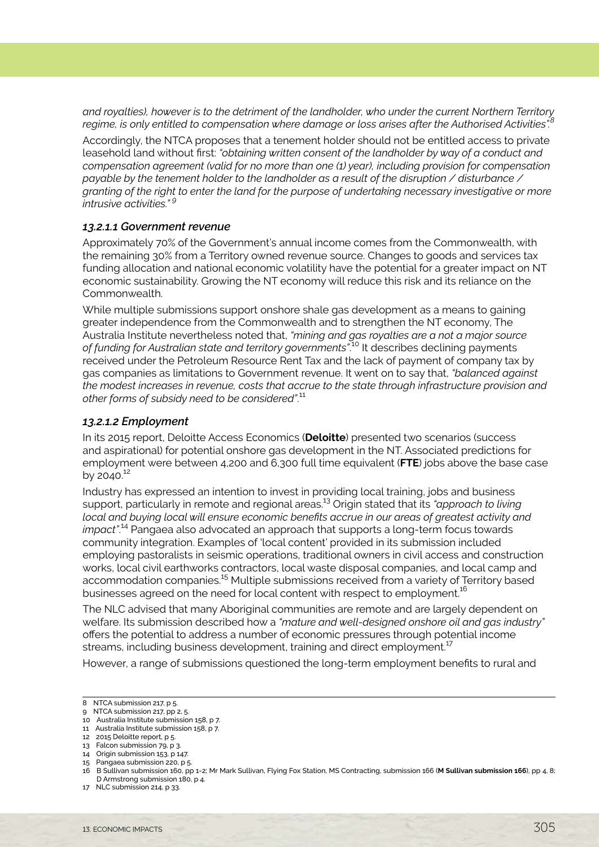*and royalties), however is to the detriment of the landholder, who under the current Northern Territory*  regime, is only entitled to compensation where damage or loss arises after the Authorised Activities".

Accordingly, the NTCA proposes that a tenement holder should not be entitled access to private leasehold land without first: *"obtaining written consent of the landholder by way of a conduct and compensation agreement (valid for no more than one (1) year), including provision for compensation payable by the tenement holder to the landholder as a result of the disruption / disturbance / granting of the right to enter the land for the purpose of undertaking necessary investigative or more intrusive activities." <sup>9</sup>*

#### *13.2.1.1 Government revenue*

Approximately 70% of the Government's annual income comes from the Commonwealth, with the remaining 30% from a Territory owned revenue source. Changes to goods and services tax funding allocation and national economic volatility have the potential for a greater impact on NT economic sustainability. Growing the NT economy will reduce this risk and its reliance on the Commonwealth.

While multiple submissions support onshore shale gas development as a means to gaining greater independence from the Commonwealth and to strengthen the NT economy, The Australia Institute nevertheless noted that, *"mining and gas royalties are a not a major source of funding for Australian state and territory governments"*. <sup>10</sup> It describes declining payments received under the Petroleum Resource Rent Tax and the lack of payment of company tax by gas companies as limitations to Government revenue. It went on to say that, *"balanced against the modest increases in revenue, costs that accrue to the state through infrastructure provision and other forms of subsidy need to be considered"*. 11

#### *13.2.1.2 Employment*

In its 2015 report, Deloitte Access Economics (**Deloitte**) presented two scenarios (success and aspirational) for potential onshore gas development in the NT. Associated predictions for employment were between 4,200 and 6,300 full time equivalent (**FTE**) jobs above the base case by 2040. $12$ 

Industry has expressed an intention to invest in providing local training, jobs and business support, particularly in remote and regional areas.13 Origin stated that its *"approach to living local and buying local will ensure economic benefits accrue in our areas of greatest activity and impact"*. 14 Pangaea also advocated an approach that supports a long-term focus towards community integration. Examples of 'local content' provided in its submission included employing pastoralists in seismic operations, traditional owners in civil access and construction works, local civil earthworks contractors, local waste disposal companies, and local camp and accommodation companies.<sup>15</sup> Multiple submissions received from a variety of Territory based businesses agreed on the need for local content with respect to employment.<sup>16</sup>

The NLC advised that many Aboriginal communities are remote and are largely dependent on welfare. Its submission described how a *"mature and well-designed onshore oil and gas industry"* offers the potential to address a number of economic pressures through potential income streams, including business development, training and direct employment.<sup>17</sup>

However, a range of submissions questioned the long-term employment benefits to rural and

<sup>8</sup> NTCA submission 217, p 5.

<sup>9</sup> NTCA submission 217, pp 2, 5.

<sup>10</sup> Australia Institute submission 158, p 7. 11 Australia Institute submission 158, p 7.

<sup>12 2015</sup> Deloitte report, p 5.

<sup>13</sup> Falcon submission 79, p 3.

<sup>14</sup> Origin submission 153, p 147.

<sup>15</sup> Pangaea submission 220, p 5.

<sup>16</sup> B Sullivan submission 160, pp 1-2; Mr Mark Sullivan, Flying Fox Station, MS Contracting, submission 166 (**M Sullivan submission 166**), pp 4, 8; D Armstrong submission 180, p 4.

<sup>17</sup> NLC submission 214, p 33.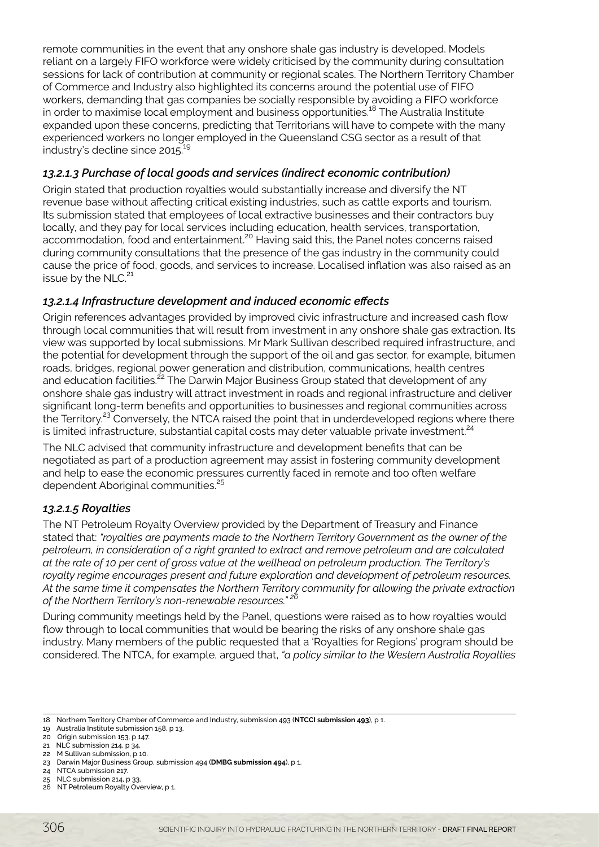remote communities in the event that any onshore shale gas industry is developed. Models reliant on a largely FIFO workforce were widely criticised by the community during consultation sessions for lack of contribution at community or regional scales. The Northern Territory Chamber of Commerce and Industry also highlighted its concerns around the potential use of FIFO workers, demanding that gas companies be socially responsible by avoiding a FIFO workforce in order to maximise local employment and business opportunities.18 The Australia Institute expanded upon these concerns, predicting that Territorians will have to compete with the many experienced workers no longer employed in the Queensland CSG sector as a result of that industry's decline since 2015.<sup>19</sup>

# *13.2.1.3 Purchase of local goods and services (indirect economic contribution)*

Origin stated that production royalties would substantially increase and diversify the NT revenue base without affecting critical existing industries, such as cattle exports and tourism. Its submission stated that employees of local extractive businesses and their contractors buy locally, and they pay for local services including education, health services, transportation, accommodation, food and entertainment.<sup>20</sup> Having said this, the Panel notes concerns raised during community consultations that the presence of the gas industry in the community could cause the price of food, goods, and services to increase. Localised inflation was also raised as an issue by the NLC.<sup>21</sup>

# *13.2.1.4 Infrastructure development and induced economic effects*

Origin references advantages provided by improved civic infrastructure and increased cash flow through local communities that will result from investment in any onshore shale gas extraction. Its view was supported by local submissions. Mr Mark Sullivan described required infrastructure, and the potential for development through the support of the oil and gas sector, for example, bitumen roads, bridges, regional power generation and distribution, communications, health centres and education facilities.<sup>22</sup> The Darwin Major Business Group stated that development of any onshore shale gas industry will attract investment in roads and regional infrastructure and deliver significant long-term benefits and opportunities to businesses and regional communities across the Territory.<sup>23</sup> Conversely, the NTCA raised the point that in underdeveloped regions where there is limited infrastructure, substantial capital costs may deter valuable private investment.<sup>24</sup>

The NLC advised that community infrastructure and development benefits that can be negotiated as part of a production agreement may assist in fostering community development and help to ease the economic pressures currently faced in remote and too often welfare dependent Aboriginal communities.<sup>25</sup>

# *13.2.1.5 Royalties*

The NT Petroleum Royalty Overview provided by the Department of Treasury and Finance stated that: *"royalties are payments made to the Northern Territory Government as the owner of the petroleum, in consideration of a right granted to extract and remove petroleum and are calculated at the rate of 10 per cent of gross value at the wellhead on petroleum production. The Territory's royalty regime encourages present and future exploration and development of petroleum resources. At the same time it compensates the Northern Territory community for allowing the private extraction of the Northern Territory's non-renewable resources." <sup>26</sup>*

During community meetings held by the Panel, questions were raised as to how royalties would flow through to local communities that would be bearing the risks of any onshore shale gas industry. Many members of the public requested that a 'Royalties for Regions' program should be considered. The NTCA, for example, argued that, *"a policy similar to the Western Australia Royalties* 

<sup>18</sup> Northern Territory Chamber of Commerce and Industry, submission 493 (**NTCCI submission 493**), p 1.

<sup>19</sup> Australia Institute submission 158, p 13.

<sup>20</sup> Origin submission 153, p 147.

<sup>21</sup> NLC submission 214, p 34.

<sup>22</sup> M Sullivan submission, p 10.

<sup>23</sup> Darwin Major Business Group, submission 494 (**DMBG submission 494**), p 1.

<sup>24</sup> NTCA submission 217.

<sup>25</sup> NLC submission 214, p 33.

<sup>26</sup> NT Petroleum Royalty Overview, p 1.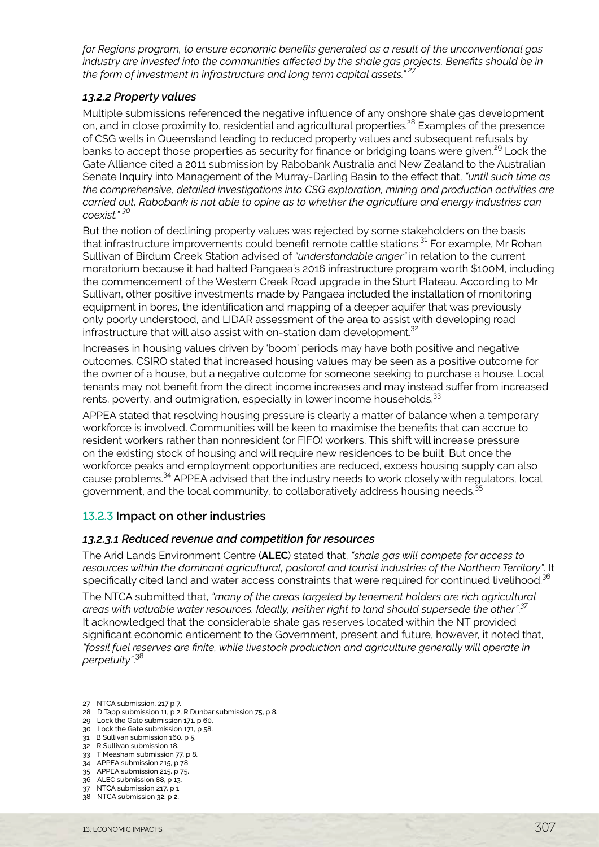*for Regions program, to ensure economic benefits generated as a result of the unconventional gas industry are invested into the communities affected by the shale gas projects. Benefits should be in the form of investment in infrastructure and long term capital assets." <sup>27</sup>*

#### *13.2.2 Property values*

Multiple submissions referenced the negative influence of any onshore shale gas development on, and in close proximity to, residential and agricultural properties.<sup>28</sup> Examples of the presence of CSG wells in Queensland leading to reduced property values and subsequent refusals by banks to accept those properties as security for finance or bridging loans were given.<sup>29</sup> Lock the Gate Alliance cited a 2011 submission by Rabobank Australia and New Zealand to the Australian Senate Inquiry into Management of the Murray-Darling Basin to the effect that, *"until such time as the comprehensive, detailed investigations into CSG exploration, mining and production activities are carried out, Rabobank is not able to opine as to whether the agriculture and energy industries can coexist." 30*

But the notion of declining property values was rejected by some stakeholders on the basis that infrastructure improvements could benefit remote cattle stations.<sup>31</sup> For example, Mr Rohan Sullivan of Birdum Creek Station advised of *"understandable anger"* in relation to the current moratorium because it had halted Pangaea's 2016 infrastructure program worth \$100M, including the commencement of the Western Creek Road upgrade in the Sturt Plateau. According to Mr Sullivan, other positive investments made by Pangaea included the installation of monitoring equipment in bores, the identification and mapping of a deeper aquifer that was previously only poorly understood, and LIDAR assessment of the area to assist with developing road infrastructure that will also assist with on-station dam development.<sup>32</sup>

Increases in housing values driven by 'boom' periods may have both positive and negative outcomes. CSIRO stated that increased housing values may be seen as a positive outcome for the owner of a house, but a negative outcome for someone seeking to purchase a house. Local tenants may not benefit from the direct income increases and may instead suffer from increased rents, poverty, and outmigration, especially in lower income households.<sup>33</sup>

APPEA stated that resolving housing pressure is clearly a matter of balance when a temporary workforce is involved. Communities will be keen to maximise the benefits that can accrue to resident workers rather than nonresident (or FIFO) workers. This shift will increase pressure on the existing stock of housing and will require new residences to be built. But once the workforce peaks and employment opportunities are reduced, excess housing supply can also cause problems.34 APPEA advised that the industry needs to work closely with regulators, local government, and the local community, to collaboratively address housing needs.<sup>3</sup>

# 13.2.3 **Impact on other industries**

# *13.2.3.1 Reduced revenue and competition for resources*

The Arid Lands Environment Centre (**ALEC**) stated that, *"shale gas will compete for access to resources within the dominant agricultural, pastoral and tourist industries of the Northern Territory"*. It specifically cited land and water access constraints that were required for continued livelihood.<sup>36</sup>

The NTCA submitted that, *"many of the areas targeted by tenement holders are rich agricultural areas with valuable water resources. Ideally, neither right to land should supersede the other"*. *37* It acknowledged that the considerable shale gas reserves located within the NT provided significant economic enticement to the Government, present and future, however, it noted that, *"fossil fuel reserves are finite, while livestock production and agriculture generally will operate in perpetuity"*. 38

<sup>27</sup> NTCA submission, 217 p 7.

<sup>28</sup> D Tapp submission 11, p 2; R Dunbar submission 75, p 8.

<sup>29</sup> Lock the Gate submission 171, p 60. 30 Lock the Gate submission 171, p 58.

<sup>31</sup> B Sullivan submission 160, p 5.

<sup>32</sup> R Sullivan submission 18.

<sup>33</sup> T Measham submission 77, p 8.

<sup>34</sup> APPEA submission 215, p 78.

<sup>35</sup> APPEA submission 215, p 75.

<sup>36</sup> ALEC submission 88, p 13.

<sup>37</sup> NTCA submission 217, p 1.

<sup>38</sup> NTCA submission 32, p 2.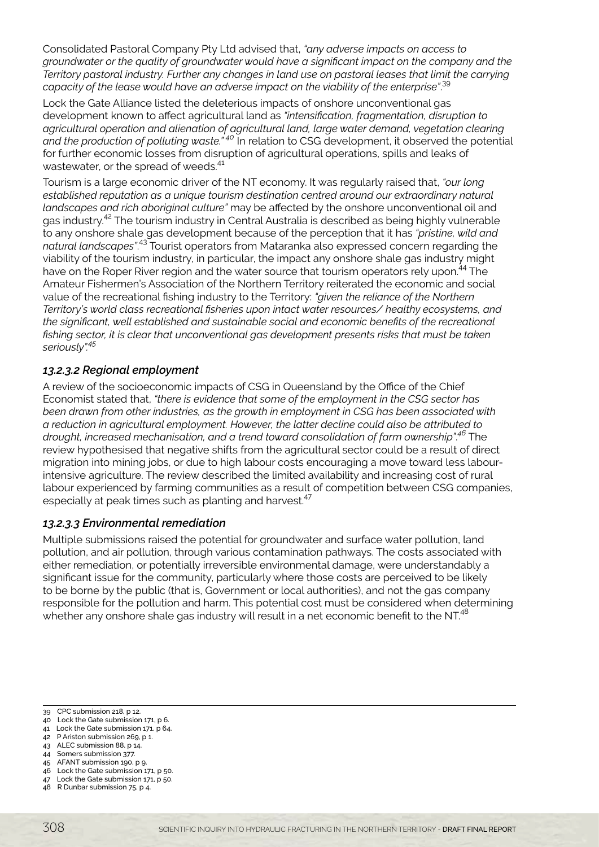Consolidated Pastoral Company Pty Ltd advised that, *"any adverse impacts on access to groundwater or the quality of groundwater would have a significant impact on the company and the Territory pastoral industry. Further any changes in land use on pastoral leases that limit the carrying capacity of the lease would have an adverse impact on the viability of the enterprise"*. 39

Lock the Gate Alliance listed the deleterious impacts of onshore unconventional gas development known to affect agricultural land as *"intensification, fragmentation, disruption to agricultural operation and alienation of agricultural land, large water demand, vegetation clearing and the production of polluting waste." 40* In relation to CSG development, it observed the potential for further economic losses from disruption of agricultural operations, spills and leaks of wastewater, or the spread of weeds.<sup>41</sup>

Tourism is a large economic driver of the NT economy. It was regularly raised that, *"our long established reputation as a unique tourism destination centred around our extraordinary natural landscapes and rich aboriginal culture"* may be affected by the onshore unconventional oil and gas industry.42 The tourism industry in Central Australia is described as being highly vulnerable to any onshore shale gas development because of the perception that it has *"pristine, wild and natural landscapes"*. 43 Tourist operators from Mataranka also expressed concern regarding the viability of the tourism industry, in particular, the impact any onshore shale gas industry might have on the Roper River region and the water source that tourism operators rely upon.<sup>44</sup> The Amateur Fishermen's Association of the Northern Territory reiterated the economic and social value of the recreational fishing industry to the Territory: *"given the reliance of the Northern Territory's world class recreational fisheries upon intact water resources/ healthy ecosystems, and the significant, well established and sustainable social and economic benefits of the recreational fishing sector, it is clear that unconventional gas development presents risks that must be taken seriously".<sup>45</sup>*

# *13.2.3.2 Regional employment*

A review of the socioeconomic impacts of CSG in Queensland by the Office of the Chief Economist stated that, *"there is evidence that some of the employment in the CSG sector has been drawn from other industries, as the growth in employment in CSG has been associated with a reduction in agricultural employment. However, the latter decline could also be attributed to drought, increased mechanisation, and a trend toward consolidation of farm ownership"*. *<sup>46</sup>* The review hypothesised that negative shifts from the agricultural sector could be a result of direct migration into mining jobs, or due to high labour costs encouraging a move toward less labourintensive agriculture. The review described the limited availability and increasing cost of rural labour experienced by farming communities as a result of competition between CSG companies, especially at peak times such as planting and harvest.<sup>47</sup>

# *13.2.3.3 Environmental remediation*

Multiple submissions raised the potential for groundwater and surface water pollution, land pollution, and air pollution, through various contamination pathways. The costs associated with either remediation, or potentially irreversible environmental damage, were understandably a significant issue for the community, particularly where those costs are perceived to be likely to be borne by the public (that is, Government or local authorities), and not the gas company responsible for the pollution and harm. This potential cost must be considered when determining whether any onshore shale gas industry will result in a net economic benefit to the NT.<sup>48</sup>

<sup>39</sup> CPC submission 218, p 12.

<sup>40</sup> Lock the Gate submission 171, p 6.

<sup>41</sup> Lock the Gate submission 171, p 64. 42 P Ariston submission 269, p 1.

<sup>43</sup> ALEC submission 88, p 14.

<sup>44</sup> Somers submission 377.

<sup>45</sup> AFANT submission 190, p 9.

<sup>46</sup> Lock the Gate submission 171, p 50.

<sup>47</sup> Lock the Gate submission 171, p 50.

<sup>48</sup> R Dunbar submission 75, p 4.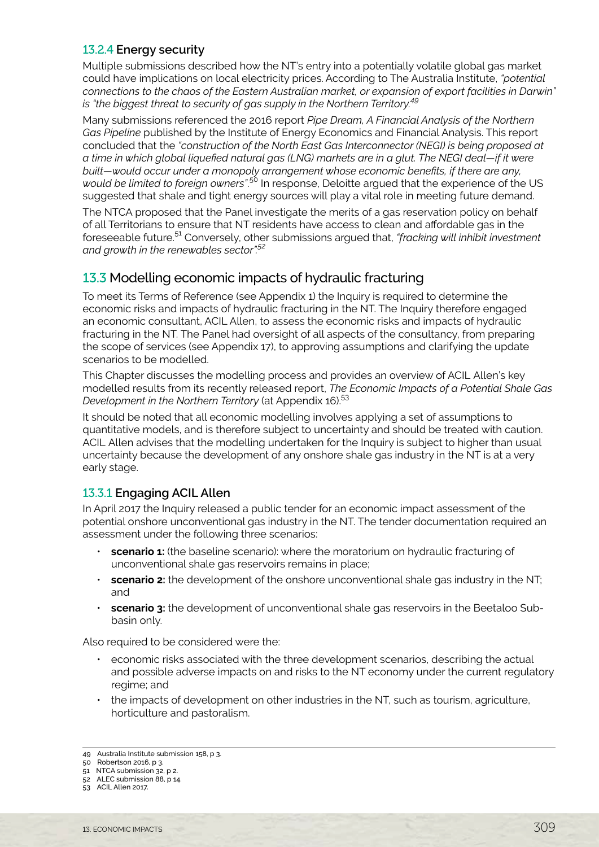# <span id="page-6-0"></span>13.2.4 **Energy security**

Multiple submissions described how the NT's entry into a potentially volatile global gas market could have implications on local electricity prices. According to The Australia Institute, *"potential connections to the chaos of the Eastern Australian market, or expansion of export facilities in Darwin" is "the biggest threat to security of gas supply in the Northern Territory.<sup>49</sup>*

Many submissions referenced the 2016 report *Pipe Dream, A Financial Analysis of the Northern Gas Pipeline* published by the Institute of Energy Economics and Financial Analysis. This report concluded that the *"construction of the North East Gas Interconnector (NEGI) is being proposed at a time in which global liquefied natural gas (LNG) markets are in a glut. The NEGI deal—if it were built—would occur under a monopoly arrangement whose economic benefits, if there are any, would be limited to foreign owners"*. <sup>50</sup> In response, Deloitte argued that the experience of the US suggested that shale and tight energy sources will play a vital role in meeting future demand.

The NTCA proposed that the Panel investigate the merits of a gas reservation policy on behalf of all Territorians to ensure that NT residents have access to clean and affordable gas in the foreseeable future.51 Conversely, other submissions argued that, *"fracking will inhibit investment and growth in the renewables sector".<sup>52</sup>*

# 13.3 Modelling economic impacts of hydraulic fracturing

To meet its Terms of Reference (see Appendix 1) the Inquiry is required to determine the economic risks and impacts of hydraulic fracturing in the NT. The Inquiry therefore engaged an economic consultant, ACIL Allen, to assess the economic risks and impacts of hydraulic fracturing in the NT. The Panel had oversight of all aspects of the consultancy, from preparing the scope of services (see Appendix 17), to approving assumptions and clarifying the update scenarios to be modelled.

This Chapter discusses the modelling process and provides an overview of ACIL Allen's key modelled results from its recently released report, *The Economic Impacts of a Potential Shale Gas Development in the Northern Territory* (at Appendix 16).<sup>53</sup>

It should be noted that all economic modelling involves applying a set of assumptions to quantitative models, and is therefore subject to uncertainty and should be treated with caution. ACIL Allen advises that the modelling undertaken for the Inquiry is subject to higher than usual uncertainty because the development of any onshore shale gas industry in the NT is at a very early stage.

# 13.3.1 **Engaging ACIL Allen**

In April 2017 the Inquiry released a public tender for an economic impact assessment of the potential onshore unconventional gas industry in the NT. The tender documentation required an assessment under the following three scenarios:

- **scenario 1:** (the baseline scenario): where the moratorium on hydraulic fracturing of unconventional shale gas reservoirs remains in place;
- **scenario 2:** the development of the onshore unconventional shale gas industry in the NT; and
- **scenario 3:** the development of unconventional shale gas reservoirs in the Beetaloo Subbasin only.

Also required to be considered were the:

- economic risks associated with the three development scenarios, describing the actual and possible adverse impacts on and risks to the NT economy under the current regulatory regime; and
- the impacts of development on other industries in the NT, such as tourism, agriculture, horticulture and pastoralism.

<sup>49</sup> Australia Institute submission 158, p 3.

<sup>50</sup> Robertson 2016, p 3.

<sup>51</sup> NTCA submission 32, p 2. 52 ALEC submission 88, p 14.

<sup>53</sup> ACIL Allen 2017.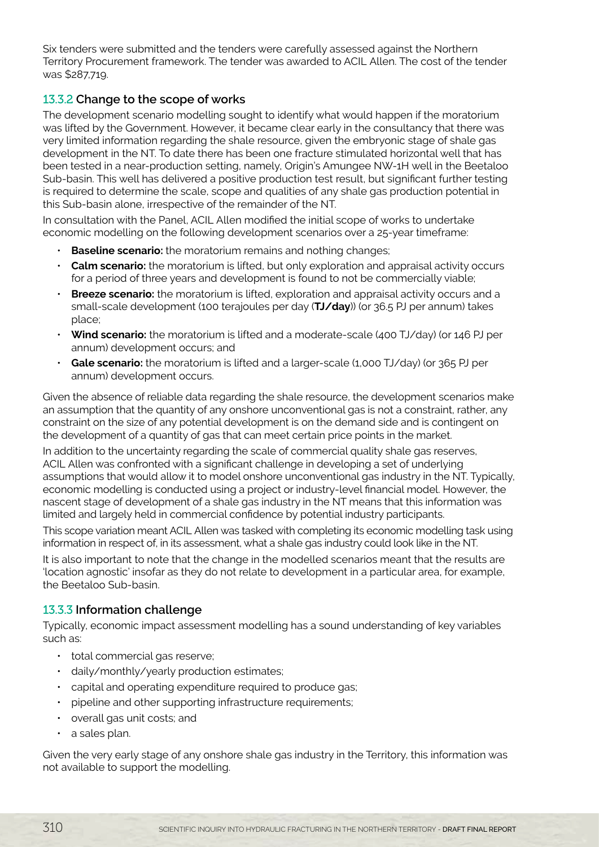Six tenders were submitted and the tenders were carefully assessed against the Northern Territory Procurement framework. The tender was awarded to ACIL Allen. The cost of the tender was \$287,719.

# 13.3.2 **Change to the scope of works**

The development scenario modelling sought to identify what would happen if the moratorium was lifted by the Government. However, it became clear early in the consultancy that there was very limited information regarding the shale resource, given the embryonic stage of shale gas development in the NT. To date there has been one fracture stimulated horizontal well that has been tested in a near-production setting, namely, Origin's Amungee NW-1H well in the Beetaloo Sub-basin. This well has delivered a positive production test result, but significant further testing is required to determine the scale, scope and qualities of any shale gas production potential in this Sub-basin alone, irrespective of the remainder of the NT.

In consultation with the Panel, ACIL Allen modified the initial scope of works to undertake economic modelling on the following development scenarios over a 25-year timeframe:

- **Baseline scenario:** the moratorium remains and nothing changes;
- **Calm scenario:** the moratorium is lifted, but only exploration and appraisal activity occurs for a period of three years and development is found to not be commercially viable;
- **Breeze scenario:** the moratorium is lifted, exploration and appraisal activity occurs and a small-scale development (100 terajoules per day (**TJ/day**)) (or 36.5 PJ per annum) takes place;
- **Wind scenario:** the moratorium is lifted and a moderate-scale (400 TJ/day) (or 146 PJ per annum) development occurs; and
- **Gale scenario:** the moratorium is lifted and a larger-scale (1,000 TJ/day) (or 365 PJ per annum) development occurs.

Given the absence of reliable data regarding the shale resource, the development scenarios make an assumption that the quantity of any onshore unconventional gas is not a constraint, rather, any constraint on the size of any potential development is on the demand side and is contingent on the development of a quantity of gas that can meet certain price points in the market.

In addition to the uncertainty regarding the scale of commercial quality shale gas reserves, ACIL Allen was confronted with a significant challenge in developing a set of underlying assumptions that would allow it to model onshore unconventional gas industry in the NT. Typically, economic modelling is conducted using a project or industry-level financial model. However, the nascent stage of development of a shale gas industry in the NT means that this information was limited and largely held in commercial confidence by potential industry participants.

This scope variation meant ACIL Allen was tasked with completing its economic modelling task using information in respect of, in its assessment, what a shale gas industry could look like in the NT.

It is also important to note that the change in the modelled scenarios meant that the results are 'location agnostic' insofar as they do not relate to development in a particular area, for example, the Beetaloo Sub-basin.

# 13.3.3 **Information challenge**

Typically, economic impact assessment modelling has a sound understanding of key variables such as:

- total commercial gas reserve;
- daily/monthly/yearly production estimates;
- capital and operating expenditure required to produce gas;
- pipeline and other supporting infrastructure requirements;
- overall gas unit costs; and
- a sales plan.

Given the very early stage of any onshore shale gas industry in the Territory, this information was not available to support the modelling.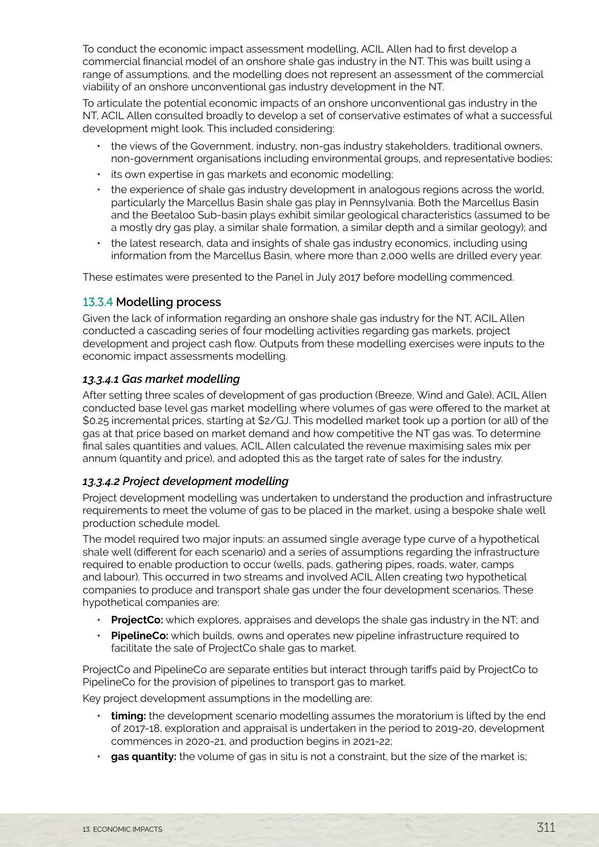To conduct the economic impact assessment modelling, ACIL Allen had to first develop a commercial financial model of an onshore shale gas industry in the NT. This was built using a range of assumptions, and the modelling does not represent an assessment of the commercial viability of an onshore unconventional gas industry development in the NT.

To articulate the potential economic impacts of an onshore unconventional gas industry in the NT, ACIL Allen consulted broadly to develop a set of conservative estimates of what a successful development might look. This included considering:

- the views of the Government, industry, non-gas industry stakeholders, traditional owners, non-government organisations including environmental groups, and representative bodies;
- its own expertise in gas markets and economic modelling;
- the experience of shale gas industry development in analogous regions across the world, particularly the Marcellus Basin shale gas play in Pennsylvania. Both the Marcellus Basin and the Beetaloo Sub-basin plays exhibit similar geological characteristics (assumed to be a mostly dry gas play, a similar shale formation, a similar depth and a similar geology); and
- the latest research, data and insights of shale gas industry economics, including using information from the Marcellus Basin, where more than 2,000 wells are drilled every year.

These estimates were presented to the Panel in July 2017 before modelling commenced.

# 13.3.4 **Modelling process**

Given the lack of information regarding an onshore shale gas industry for the NT, ACIL Allen conducted a cascading series of four modelling activities regarding gas markets, project development and project cash flow. Outputs from these modelling exercises were inputs to the economic impact assessments modelling.

# *13.3.4.1 Gas market modelling*

After setting three scales of development of gas production (Breeze, Wind and Gale), ACIL Allen conducted base level gas market modelling where volumes of gas were offered to the market at \$0.25 incremental prices, starting at \$2/GJ. This modelled market took up a portion (or all) of the gas at that price based on market demand and how competitive the NT gas was. To determine final sales quantities and values, ACIL Allen calculated the revenue maximising sales mix per annum (quantity and price), and adopted this as the target rate of sales for the industry.

# *13.3.4.2 Project development modelling*

Project development modelling was undertaken to understand the production and infrastructure requirements to meet the volume of gas to be placed in the market, using a bespoke shale well production schedule model.

The model required two major inputs: an assumed single average type curve of a hypothetical shale well (different for each scenario) and a series of assumptions regarding the infrastructure required to enable production to occur (wells, pads, gathering pipes, roads, water, camps and labour). This occurred in two streams and involved ACIL Allen creating two hypothetical companies to produce and transport shale gas under the four development scenarios. These hypothetical companies are:

- **ProjectCo:** which explores, appraises and develops the shale gas industry in the NT; and
- **PipelineCo:** which builds, owns and operates new pipeline infrastructure required to facilitate the sale of ProjectCo shale gas to market.

ProjectCo and PipelineCo are separate entities but interact through tariffs paid by ProjectCo to PipelineCo for the provision of pipelines to transport gas to market.

Key project development assumptions in the modelling are:

- **timing:** the development scenario modelling assumes the moratorium is lifted by the end of 2017-18, exploration and appraisal is undertaken in the period to 2019-20, development commences in 2020-21, and production begins in 2021-22;
- **gas quantity:** the volume of gas in situ is not a constraint, but the size of the market is: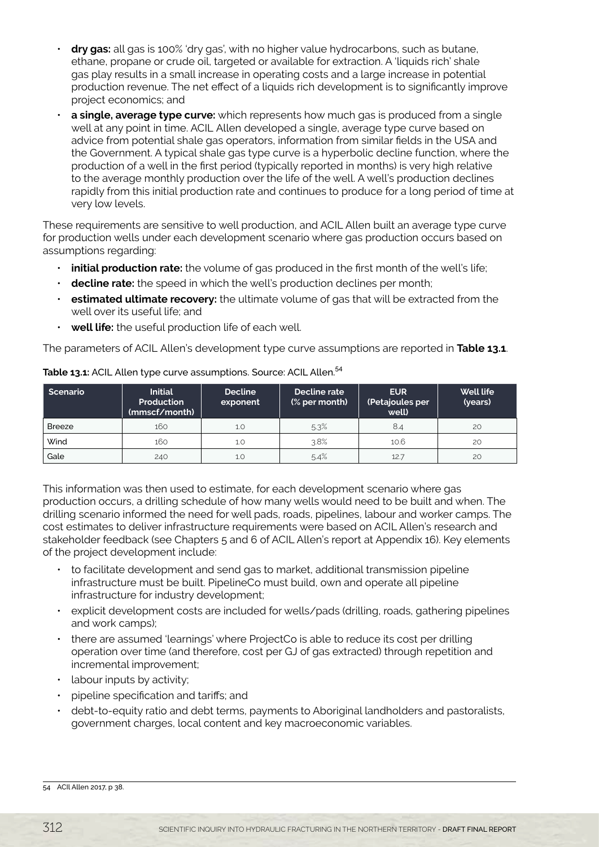- **dry gas:** all gas is 100% 'dry gas', with no higher value hydrocarbons, such as butane, ethane, propane or crude oil, targeted or available for extraction. A 'liquids rich' shale gas play results in a small increase in operating costs and a large increase in potential production revenue. The net effect of a liquids rich development is to significantly improve project economics; and
- **a single, average type curve:** which represents how much gas is produced from a single well at any point in time. ACIL Allen developed a single, average type curve based on advice from potential shale gas operators, information from similar fields in the USA and the Government. A typical shale gas type curve is a hyperbolic decline function, where the production of a well in the first period (typically reported in months) is very high relative to the average monthly production over the life of the well. A well's production declines rapidly from this initial production rate and continues to produce for a long period of time at very low levels.

These requirements are sensitive to well production, and ACIL Allen built an average type curve for production wells under each development scenario where gas production occurs based on assumptions regarding:

- **initial production rate:** the volume of gas produced in the first month of the well's life;
- **decline rate:** the speed in which the well's production declines per month;
- **estimated ultimate recovery:** the ultimate volume of gas that will be extracted from the well over its useful life; and
- **well life:** the useful production life of each well.

The parameters of ACIL Allen's development type curve assumptions are reported in **Table 13.1**.

| Scenario      | <b>Initial</b><br>Production<br>(mmscf/month) | <b>Decline</b><br>exponent | Decline rate<br>(% per month) | <b>EUR</b><br>(Petajoules per<br>well) | <b>Well life</b><br>(years) |
|---------------|-----------------------------------------------|----------------------------|-------------------------------|----------------------------------------|-----------------------------|
| <b>Breeze</b> | 160                                           | 1.0                        | 5.3%                          | 8.4                                    | 20                          |
| Wind          | 160                                           | 1.0                        | 3.8%                          | 10.6                                   | 20                          |
| Gale          | 240                                           | 1.0                        | 5.4%                          | 12.7                                   | 20                          |

**Table 13.1:** ACIL Allen type curve assumptions. Source: ACIL Allen.<sup>54</sup>

This information was then used to estimate, for each development scenario where gas production occurs, a drilling schedule of how many wells would need to be built and when. The drilling scenario informed the need for well pads, roads, pipelines, labour and worker camps. The cost estimates to deliver infrastructure requirements were based on ACIL Allen's research and stakeholder feedback (see Chapters 5 and 6 of ACIL Allen's report at Appendix 16). Key elements of the project development include:

- to facilitate development and send gas to market, additional transmission pipeline infrastructure must be built. PipelineCo must build, own and operate all pipeline infrastructure for industry development;
- explicit development costs are included for wells/pads (drilling, roads, gathering pipelines and work camps);
- there are assumed 'learnings' where ProjectCo is able to reduce its cost per drilling operation over time (and therefore, cost per GJ of gas extracted) through repetition and incremental improvement;
- labour inputs by activity;
- pipeline specification and tariffs; and
- debt-to-equity ratio and debt terms, payments to Aboriginal landholders and pastoralists, government charges, local content and key macroeconomic variables.

<sup>54</sup> ACIl Allen 2017, p 38.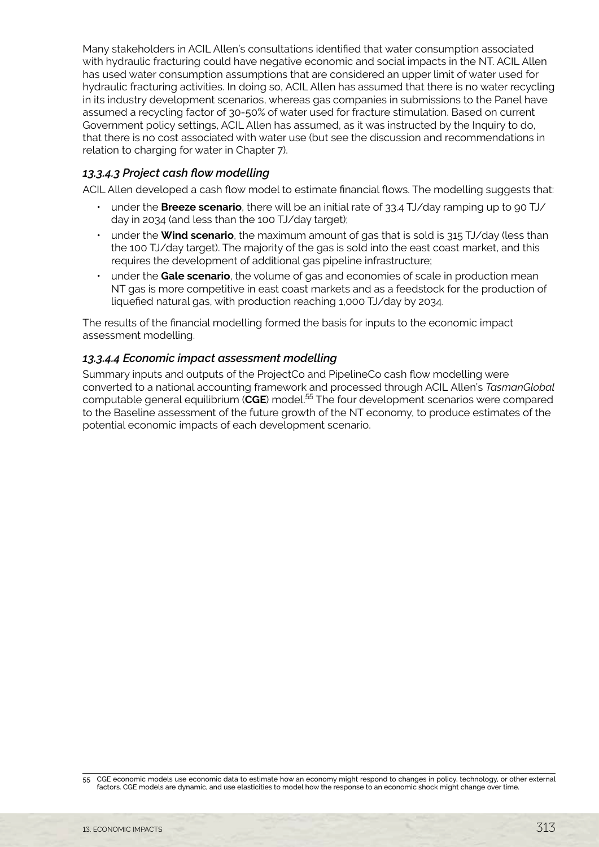Many stakeholders in ACIL Allen's consultations identified that water consumption associated with hydraulic fracturing could have negative economic and social impacts in the NT. ACIL Allen has used water consumption assumptions that are considered an upper limit of water used for hydraulic fracturing activities. In doing so, ACIL Allen has assumed that there is no water recycling in its industry development scenarios, whereas gas companies in submissions to the Panel have assumed a recycling factor of 30-50% of water used for fracture stimulation. Based on current Government policy settings, ACIL Allen has assumed, as it was instructed by the Inquiry to do, that there is no cost associated with water use (but see the discussion and recommendations in relation to charging for water in Chapter 7).

#### *13.3.4.3 Project cash flow modelling*

ACIL Allen developed a cash flow model to estimate financial flows. The modelling suggests that:

- under the **Breeze scenario**, there will be an initial rate of 33.4 TJ/day ramping up to 90 TJ/ day in 2034 (and less than the 100 TJ/day target);
- under the **Wind scenario**, the maximum amount of gas that is sold is 315 TJ/day (less than the 100 TJ/day target). The majority of the gas is sold into the east coast market, and this requires the development of additional gas pipeline infrastructure;
- under the **Gale scenario**, the volume of gas and economies of scale in production mean NT gas is more competitive in east coast markets and as a feedstock for the production of liquefied natural gas, with production reaching 1,000 TJ/day by 2034.

The results of the financial modelling formed the basis for inputs to the economic impact assessment modelling.

#### *13.3.4.4 Economic impact assessment modelling*

Summary inputs and outputs of the ProjectCo and PipelineCo cash flow modelling were converted to a national accounting framework and processed through ACIL Allen's *TasmanGlobal* computable general equilibrium (**CGE**) model.55 The four development scenarios were compared to the Baseline assessment of the future growth of the NT economy, to produce estimates of the potential economic impacts of each development scenario.

<sup>55</sup> CGE economic models use economic data to estimate how an economy might respond to changes in policy, technology, or other external factors. CGE models are dynamic, and use elasticities to model how the response to an economic shock might change over time.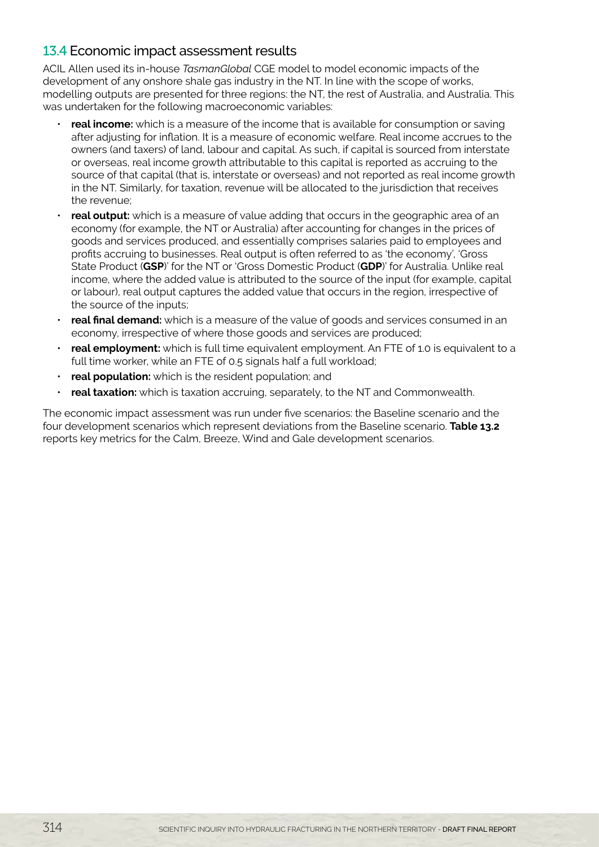# <span id="page-11-0"></span>13.4 Economic impact assessment results

ACIL Allen used its in-house *TasmanGlobal* CGE model to model economic impacts of the development of any onshore shale gas industry in the NT. In line with the scope of works, modelling outputs are presented for three regions: the NT, the rest of Australia, and Australia. This was undertaken for the following macroeconomic variables:

- **real income:** which is a measure of the income that is available for consumption or saving after adjusting for inflation. It is a measure of economic welfare. Real income accrues to the owners (and taxers) of land, labour and capital. As such, if capital is sourced from interstate or overseas, real income growth attributable to this capital is reported as accruing to the source of that capital (that is, interstate or overseas) and not reported as real income growth in the NT. Similarly, for taxation, revenue will be allocated to the jurisdiction that receives the revenue;
- **real output:** which is a measure of value adding that occurs in the geographic area of an economy (for example, the NT or Australia) after accounting for changes in the prices of goods and services produced, and essentially comprises salaries paid to employees and profits accruing to businesses. Real output is often referred to as 'the economy', 'Gross State Product (**GSP**)' for the NT or 'Gross Domestic Product (**GDP**)' for Australia. Unlike real income, where the added value is attributed to the source of the input (for example, capital or labour), real output captures the added value that occurs in the region, irrespective of the source of the inputs;
- **real final demand:** which is a measure of the value of goods and services consumed in an economy, irrespective of where those goods and services are produced;
- **real employment:** which is full time equivalent employment. An FTE of 1.0 is equivalent to a full time worker, while an FTE of 0.5 signals half a full workload;
- **real population:** which is the resident population; and
- **real taxation:** which is taxation accruing, separately, to the NT and Commonwealth.

The economic impact assessment was run under five scenarios: the Baseline scenario and the four development scenarios which represent deviations from the Baseline scenario. **Table 13.2** reports key metrics for the Calm, Breeze, Wind and Gale development scenarios.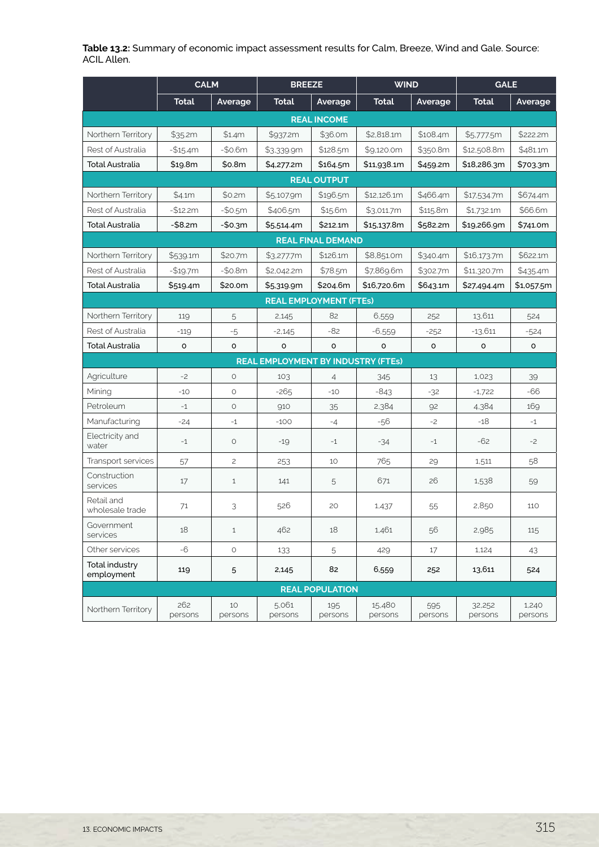**Table 13.2:** Summary of economic impact assessment results for Calm, Breeze, Wind and Gale. Source: ACIL Allen.

|                               | <b>CALM</b>        |               | <b>BREEZE</b>                             |                          | <b>WIND</b>       |                | <b>GALE</b>       |                  |  |
|-------------------------------|--------------------|---------------|-------------------------------------------|--------------------------|-------------------|----------------|-------------------|------------------|--|
|                               | <b>Total</b>       | Average       | <b>Total</b>                              | Average                  | <b>Total</b>      | Average        | <b>Total</b>      | Average          |  |
| <b>REAL INCOME</b>            |                    |               |                                           |                          |                   |                |                   |                  |  |
| Northern Territory            | \$35.2m            | \$1.4m        | \$937.2m                                  | \$36.0m                  | \$2,818.1m        | \$108.4m       | \$5,777.5m        | \$222.2m         |  |
| Rest of Australia             | $-$15.4m$          | $-50.6m$      | \$3,339.9m                                | \$128.5m                 | \$9,120.0m        | \$350.8m       | \$12,508.8m       | \$481.1m         |  |
| <b>Total Australia</b>        | \$19.8m            | \$0.8m        | \$4,277.2m                                | \$164.5m                 | \$11,938.1m       | \$459.2m       | \$18,286.3m       | \$703.3m         |  |
|                               | <b>REAL OUTPUT</b> |               |                                           |                          |                   |                |                   |                  |  |
| Northern Territory            | \$4.1m             | \$0.2m        | \$5,107.9m                                | \$196.5m                 | \$12,126.1m       | \$466.4m       | \$17.534.7m       | \$674.4m         |  |
| Rest of Australia             | $-$12.2m$          | $-50.5m$      | \$406.5m                                  | \$15.6m                  | \$3,011.7m        | \$115.8m       | \$1,732.1m        | \$66.6m          |  |
| <b>Total Australia</b>        | $-$8.2m$           | $-$0.3m$      | \$5,514.4m                                | \$212.1m                 | \$15,137.8m       | \$582.2m       | \$19,266.9m       | \$741.0m         |  |
|                               |                    |               |                                           | <b>REAL FINAL DEMAND</b> |                   |                |                   |                  |  |
| Northern Territory            | \$539.1m           | \$20.7m       | \$3,277.7m                                | \$126.1m                 | \$8,851.0m        | \$340.4m       | \$16,173.7m       | \$622.1m         |  |
| Rest of Australia             | $-$19.7m$          | $-50.8m$      | \$2,042.2m                                | \$78.5m                  | \$7,869.6m        | \$302.7m       | \$11,320.7m       | \$435.4m         |  |
| <b>Total Australia</b>        | \$519.4m           | \$20.0m       | \$5,319.9m                                | \$204.6m                 | \$16,720.6m       | \$643.1m       | \$27,494.4m       | \$1,057.5m       |  |
|                               |                    |               | <b>REAL EMPLOYMENT (FTEs)</b>             |                          |                   |                |                   |                  |  |
| Northern Territory            | 119                | 5             | 2,145                                     | 82                       | 6,559             | 252            | 13,611            | 524              |  |
| Rest of Australia             | $-119$             | $-5$          | $-2,145$                                  | -82                      | $-6,559$          | $-252$         | $-13,611$         | $-524$           |  |
| <b>Total Australia</b>        | o                  | o             | $\circ$                                   | $\circ$                  | $\circ$           | $\circ$        | $\circ$           | o                |  |
|                               |                    |               | <b>REAL EMPLOYMENT BY INDUSTRY (FTES)</b> |                          |                   |                |                   |                  |  |
| Agriculture                   | $-2$               | $\circ$       | 103                                       | $\overline{4}$           | 345               | 13             | 1,023             | 39               |  |
| Mining                        | $-10$              | $\circ$       | $-265$                                    | $-10$                    | $-843$            | $-32$          | $-1,722$          | $-66$            |  |
| Petroleum                     | $-1$               | $\circ$       | 910                                       | 35                       | 2,384             | 92             | 4,384             | 169              |  |
| Manufacturing                 | $-24$              | $-1$          | $-100$                                    | $-4$                     | $-56$             | $-2$           | $-18$             | $-1$             |  |
| Electricity and<br>water      | $-1$               | $\circ$       | $-19$                                     | $-1$                     | -34               | $-1$           | $-62$             | $-2$             |  |
| Transport services            | 57                 | $\mathbf{Z}$  | 253                                       | 10                       | 765               | 29             | 1,511             | 58               |  |
| Construction<br>services      | 17                 | $\mathbf{1}$  | 141                                       | 5                        | 671               | 26             | 1,538             | 59               |  |
| Retail and<br>wholesale trade | 71                 | 3             | 526                                       | 20                       | 1,437             | 55             | 2,850             | 110              |  |
| Government<br>services        | 18                 | $\mathbf{1}$  | 462                                       | 18                       | 1,461             | 56             | 2,985             | 115              |  |
| Other services                | $-6$               | $\circ$       | 133                                       | 5                        | 429               | 17             | 1,124             | 43               |  |
| Total industry<br>employment  | 119                | 5             | 2,145                                     | 82                       | 6,559             | 252            | 13,611            | 524              |  |
|                               |                    |               |                                           | <b>REAL POPULATION</b>   |                   |                |                   |                  |  |
| Northern Territory            | 262<br>persons     | 10<br>persons | 5,061<br>persons                          | 195<br>persons           | 15,480<br>persons | 595<br>persons | 32,252<br>persons | 1,240<br>persons |  |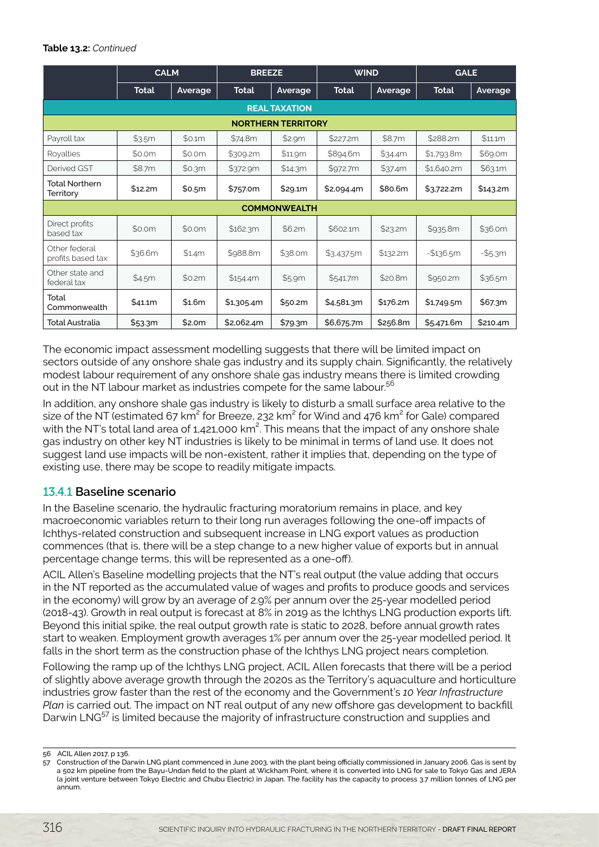#### **Table 13.2:** *Continued*

|                                    | <b>CALM</b>          |         | <b>BREEZE</b> |         | <b>WIND</b>  |          | <b>GALE</b>  |            |  |  |
|------------------------------------|----------------------|---------|---------------|---------|--------------|----------|--------------|------------|--|--|
|                                    | <b>Total</b>         | Average | <b>Total</b>  | Average | <b>Total</b> | Average  | <b>Total</b> | Average    |  |  |
|                                    | <b>REAL TAXATION</b> |         |               |         |              |          |              |            |  |  |
| <b>NORTHERN TERRITORY</b>          |                      |         |               |         |              |          |              |            |  |  |
| Payroll tax                        | \$3.5m               | \$0.1m  | \$74.8m       | \$2.9m  | \$227.2m     | \$8.7m   | \$288.2m     | \$11.1m    |  |  |
| Royalties                          | \$0.0m               | \$0.0m  | \$309.2m      | \$11.9m | \$894.6m     | \$34.4m  | \$1,793.8m   | \$69.0m    |  |  |
| Derived GST                        | \$8.7m               | \$0.3m  | \$372.9m      | \$14.3m | \$972.7m     | \$37.4m  | \$1,640.2m   | \$63.1m    |  |  |
| <b>Total Northern</b><br>Territory | \$12.2m              | \$0.5m  | \$757.0m      | \$29.1m | \$2,094.4m   | \$80.6m  | \$3,722.2m   | \$143.2m   |  |  |
| <b>COMMONWEALTH</b>                |                      |         |               |         |              |          |              |            |  |  |
| Direct profits<br>based tax        | \$0.0m               | \$0.0m  | \$162.3m      | \$6.2m  | \$602.1m     | \$23.2m  | \$935.8m     | \$36.0m    |  |  |
| Other federal<br>profits based tax | \$36.6m              | \$1.4m  | \$988.8m      | \$38.0m | \$3,437.5m   | \$132.2m | $-$136.5m$   | $-$ \$5.3m |  |  |
| Other state and<br>federal tax     | \$4.5m               | \$0.2m  | \$154.4m      | \$5.9m  | \$541.7m     | \$20.8m  | \$950.2m     | \$36.5m    |  |  |
| Total<br>Commonwealth              | \$41.1m              | \$1.6m  | \$1,305.4m    | \$50.2m | \$4,581.3m   | \$176.2m | \$1,749.5m   | \$67.3m    |  |  |
| <b>Total Australia</b>             | \$53.3m              | \$2.0m  | \$2,062.4m    | \$79.3m | \$6,675.7m   | \$256.8m | \$5,471.6m   | \$210.4m   |  |  |

The economic impact assessment modelling suggests that there will be limited impact on sectors outside of any onshore shale gas industry and its supply chain. Significantly, the relatively modest labour requirement of any onshore shale gas industry means there is limited crowding out in the NT labour market as industries compete for the same labour.<sup>56</sup>

In addition, any onshore shale gas industry is likely to disturb a small surface area relative to the size of the NT (estimated 67 km<sup>2</sup> for Breeze, 232 km<sup>2</sup> for Wind and 476 km<sup>2</sup> for Gale) compared with the NT's total land area of 1,421,000 km<sup>2</sup>. This means that the impact of any onshore shale gas industry on other key NT industries is likely to be minimal in terms of land use. It does not suggest land use impacts will be non-existent, rather it implies that, depending on the type of existing use, there may be scope to readily mitigate impacts.

# 13.4.1 **Baseline scenario**

In the Baseline scenario, the hydraulic fracturing moratorium remains in place, and key macroeconomic variables return to their long run averages following the one-off impacts of Ichthys-related construction and subsequent increase in LNG export values as production commences (that is, there will be a step change to a new higher value of exports but in annual percentage change terms, this will be represented as a one-off).

ACIL Allen's Baseline modelling projects that the NT's real output (the value adding that occurs in the NT reported as the accumulated value of wages and profits to produce goods and services in the economy) will grow by an average of 2.9% per annum over the 25-year modelled period (2018-43). Growth in real output is forecast at 8% in 2019 as the Ichthys LNG production exports lift. Beyond this initial spike, the real output growth rate is static to 2028, before annual growth rates start to weaken. Employment growth averages 1% per annum over the 25-year modelled period. It falls in the short term as the construction phase of the Ichthys LNG project nears completion.

Following the ramp up of the Ichthys LNG project, ACIL Allen forecasts that there will be a period of slightly above average growth through the 2020s as the Territory's aquaculture and horticulture industries grow faster than the rest of the economy and the Government's *10 Year Infrastructure Plan* is carried out. The impact on NT real output of any new offshore gas development to backfill Darwin LNG<sup>57</sup> is limited because the majority of infrastructure construction and supplies and

<sup>56</sup> ACIL Allen 2017, p 136.

<sup>57</sup> Construction of the Darwin LNG plant commenced in June 2003, with the plant being officially commissioned in January 2006. Gas is sent by a 502 km pipeline from the Bayu-Undan field to the plant at Wickham Point, where it is converted into LNG for sale to Tokyo Gas and JERA (a joint venture between Tokyo Electric and Chubu Electric) in Japan. The facility has the capacity to process 3.7 million tonnes of LNG per annum.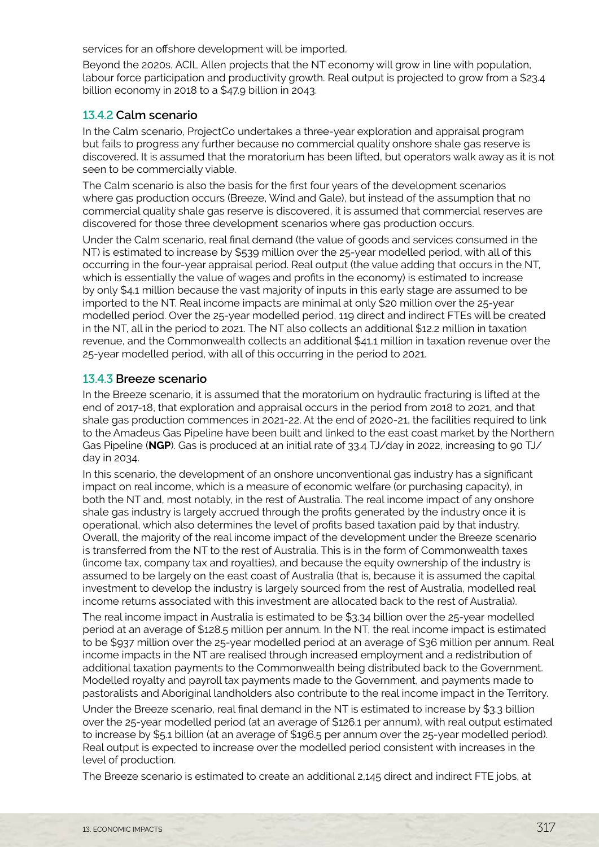services for an offshore development will be imported.

Beyond the 2020s, ACIL Allen projects that the NT economy will grow in line with population, labour force participation and productivity growth. Real output is projected to grow from a \$23.4 billion economy in 2018 to a \$47.9 billion in 2043.

#### 13.4.2 **Calm scenario**

In the Calm scenario, ProjectCo undertakes a three-year exploration and appraisal program but fails to progress any further because no commercial quality onshore shale gas reserve is discovered. It is assumed that the moratorium has been lifted, but operators walk away as it is not seen to be commercially viable.

The Calm scenario is also the basis for the first four years of the development scenarios where gas production occurs (Breeze, Wind and Gale), but instead of the assumption that no commercial quality shale gas reserve is discovered, it is assumed that commercial reserves are discovered for those three development scenarios where gas production occurs.

Under the Calm scenario, real final demand (the value of goods and services consumed in the NT) is estimated to increase by \$539 million over the 25-year modelled period, with all of this occurring in the four-year appraisal period. Real output (the value adding that occurs in the NT, which is essentially the value of wages and profits in the economy) is estimated to increase by only \$4.1 million because the vast majority of inputs in this early stage are assumed to be imported to the NT. Real income impacts are minimal at only \$20 million over the 25-year modelled period. Over the 25-year modelled period, 119 direct and indirect FTEs will be created in the NT, all in the period to 2021. The NT also collects an additional \$12.2 million in taxation revenue, and the Commonwealth collects an additional \$41.1 million in taxation revenue over the 25-year modelled period, with all of this occurring in the period to 2021.

#### 13.4.3 **Breeze scenario**

In the Breeze scenario, it is assumed that the moratorium on hydraulic fracturing is lifted at the end of 2017-18, that exploration and appraisal occurs in the period from 2018 to 2021, and that shale gas production commences in 2021-22. At the end of 2020-21, the facilities required to link to the Amadeus Gas Pipeline have been built and linked to the east coast market by the Northern Gas Pipeline (**NGP**). Gas is produced at an initial rate of 33.4 TJ/day in 2022, increasing to 90 TJ/ day in 2034.

In this scenario, the development of an onshore unconventional gas industry has a significant impact on real income, which is a measure of economic welfare (or purchasing capacity), in both the NT and, most notably, in the rest of Australia. The real income impact of any onshore shale gas industry is largely accrued through the profits generated by the industry once it is operational, which also determines the level of profits based taxation paid by that industry. Overall, the majority of the real income impact of the development under the Breeze scenario is transferred from the NT to the rest of Australia. This is in the form of Commonwealth taxes (income tax, company tax and royalties), and because the equity ownership of the industry is assumed to be largely on the east coast of Australia (that is, because it is assumed the capital investment to develop the industry is largely sourced from the rest of Australia, modelled real income returns associated with this investment are allocated back to the rest of Australia).

The real income impact in Australia is estimated to be \$3.34 billion over the 25-year modelled period at an average of \$128.5 million per annum. In the NT, the real income impact is estimated to be \$937 million over the 25-year modelled period at an average of \$36 million per annum. Real income impacts in the NT are realised through increased employment and a redistribution of additional taxation payments to the Commonwealth being distributed back to the Government. Modelled royalty and payroll tax payments made to the Government, and payments made to pastoralists and Aboriginal landholders also contribute to the real income impact in the Territory.

Under the Breeze scenario, real final demand in the NT is estimated to increase by \$3.3 billion over the 25-year modelled period (at an average of \$126.1 per annum), with real output estimated to increase by \$5.1 billion (at an average of \$196.5 per annum over the 25-year modelled period). Real output is expected to increase over the modelled period consistent with increases in the level of production.

The Breeze scenario is estimated to create an additional 2,145 direct and indirect FTE jobs, at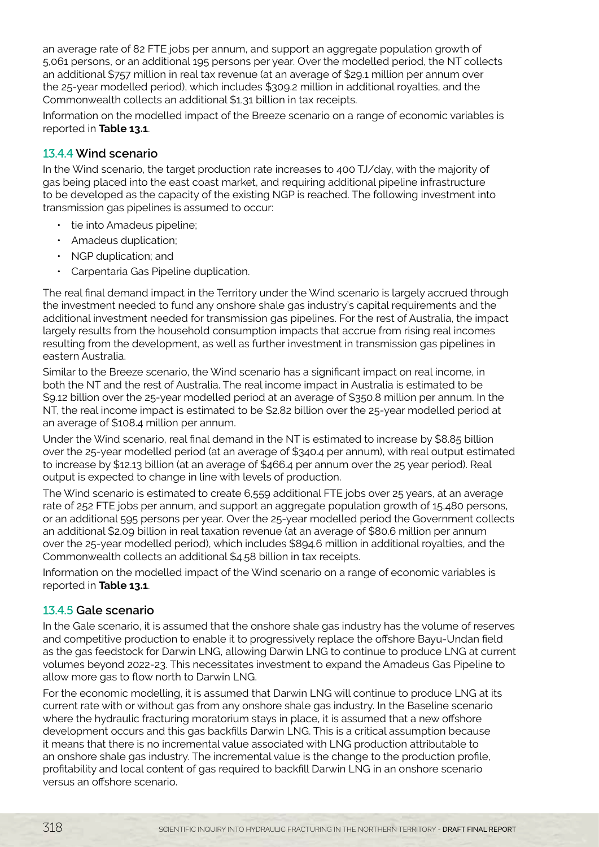an average rate of 82 FTE jobs per annum, and support an aggregate population growth of 5,061 persons, or an additional 195 persons per year. Over the modelled period, the NT collects an additional \$757 million in real tax revenue (at an average of \$29.1 million per annum over the 25-year modelled period), which includes \$309.2 million in additional royalties, and the Commonwealth collects an additional \$1.31 billion in tax receipts.

Information on the modelled impact of the Breeze scenario on a range of economic variables is reported in **Table 13.1**.

# 13.4.4 **Wind scenario**

In the Wind scenario, the target production rate increases to 400 TJ/day, with the majority of gas being placed into the east coast market, and requiring additional pipeline infrastructure to be developed as the capacity of the existing NGP is reached. The following investment into transmission gas pipelines is assumed to occur:

- tie into Amadeus pipeline;
- Amadeus duplication;
- NGP duplication; and
- Carpentaria Gas Pipeline duplication.

The real final demand impact in the Territory under the Wind scenario is largely accrued through the investment needed to fund any onshore shale gas industry's capital requirements and the additional investment needed for transmission gas pipelines. For the rest of Australia, the impact largely results from the household consumption impacts that accrue from rising real incomes resulting from the development, as well as further investment in transmission gas pipelines in eastern Australia.

Similar to the Breeze scenario, the Wind scenario has a significant impact on real income, in both the NT and the rest of Australia. The real income impact in Australia is estimated to be \$9.12 billion over the 25-year modelled period at an average of \$350.8 million per annum. In the NT, the real income impact is estimated to be \$2.82 billion over the 25-year modelled period at an average of \$108.4 million per annum.

Under the Wind scenario, real final demand in the NT is estimated to increase by \$8.85 billion over the 25-year modelled period (at an average of \$340.4 per annum), with real output estimated to increase by \$12.13 billion (at an average of \$466.4 per annum over the 25 year period). Real output is expected to change in line with levels of production.

The Wind scenario is estimated to create 6,559 additional FTE jobs over 25 years, at an average rate of 252 FTE jobs per annum, and support an aggregate population growth of 15,480 persons, or an additional 595 persons per year. Over the 25-year modelled period the Government collects an additional \$2.09 billion in real taxation revenue (at an average of \$80.6 million per annum over the 25-year modelled period), which includes \$894.6 million in additional royalties, and the Commonwealth collects an additional \$4.58 billion in tax receipts.

Information on the modelled impact of the Wind scenario on a range of economic variables is reported in **Table 13.1**.

# 13.4.5 **Gale scenario**

In the Gale scenario, it is assumed that the onshore shale gas industry has the volume of reserves and competitive production to enable it to progressively replace the offshore Bayu-Undan field as the gas feedstock for Darwin LNG, allowing Darwin LNG to continue to produce LNG at current volumes beyond 2022-23. This necessitates investment to expand the Amadeus Gas Pipeline to allow more gas to flow north to Darwin LNG.

For the economic modelling, it is assumed that Darwin LNG will continue to produce LNG at its current rate with or without gas from any onshore shale gas industry. In the Baseline scenario where the hydraulic fracturing moratorium stays in place, it is assumed that a new offshore development occurs and this gas backfills Darwin LNG. This is a critical assumption because it means that there is no incremental value associated with LNG production attributable to an onshore shale gas industry. The incremental value is the change to the production profile, profitability and local content of gas required to backfill Darwin LNG in an onshore scenario versus an offshore scenario.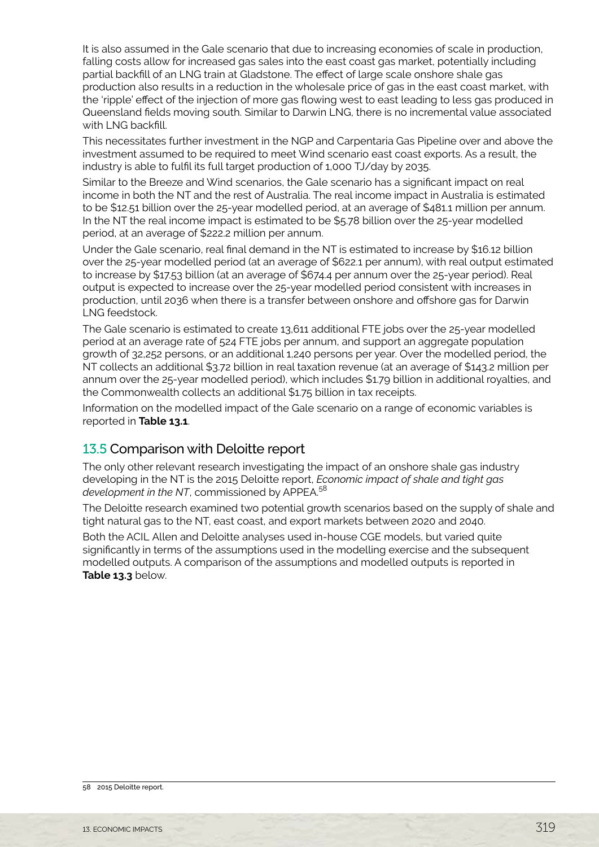<span id="page-16-0"></span>It is also assumed in the Gale scenario that due to increasing economies of scale in production, falling costs allow for increased gas sales into the east coast gas market, potentially including partial backfill of an LNG train at Gladstone. The effect of large scale onshore shale gas production also results in a reduction in the wholesale price of gas in the east coast market, with the 'ripple' effect of the injection of more gas flowing west to east leading to less gas produced in Queensland fields moving south. Similar to Darwin LNG, there is no incremental value associated with LNG backfill.

This necessitates further investment in the NGP and Carpentaria Gas Pipeline over and above the investment assumed to be required to meet Wind scenario east coast exports. As a result, the industry is able to fulfil its full target production of 1,000 TJ/day by 2035.

Similar to the Breeze and Wind scenarios, the Gale scenario has a significant impact on real income in both the NT and the rest of Australia. The real income impact in Australia is estimated to be \$12.51 billion over the 25-year modelled period, at an average of \$481.1 million per annum. In the NT the real income impact is estimated to be \$5.78 billion over the 25-year modelled period, at an average of \$222.2 million per annum.

Under the Gale scenario, real final demand in the NT is estimated to increase by \$16.12 billion over the 25-year modelled period (at an average of \$622.1 per annum), with real output estimated to increase by \$17.53 billion (at an average of \$674.4 per annum over the 25-year period). Real output is expected to increase over the 25-year modelled period consistent with increases in production, until 2036 when there is a transfer between onshore and offshore gas for Darwin LNG feedstock.

The Gale scenario is estimated to create 13,611 additional FTE jobs over the 25-year modelled period at an average rate of 524 FTE jobs per annum, and support an aggregate population growth of 32,252 persons, or an additional 1,240 persons per year. Over the modelled period, the NT collects an additional \$3.72 billion in real taxation revenue (at an average of \$143.2 million per annum over the 25-year modelled period), which includes \$1.79 billion in additional royalties, and the Commonwealth collects an additional \$1.75 billion in tax receipts.

Information on the modelled impact of the Gale scenario on a range of economic variables is reported in **Table 13.1**.

# 13.5 Comparison with Deloitte report

The only other relevant research investigating the impact of an onshore shale gas industry developing in the NT is the 2015 Deloitte report, *Economic impact of shale and tight gas*  development in the NT, commissioned by APPEA.<sup>58</sup>

The Deloitte research examined two potential growth scenarios based on the supply of shale and tight natural gas to the NT, east coast, and export markets between 2020 and 2040.

Both the ACIL Allen and Deloitte analyses used in-house CGE models, but varied quite significantly in terms of the assumptions used in the modelling exercise and the subsequent modelled outputs. A comparison of the assumptions and modelled outputs is reported in **Table 13.3** below.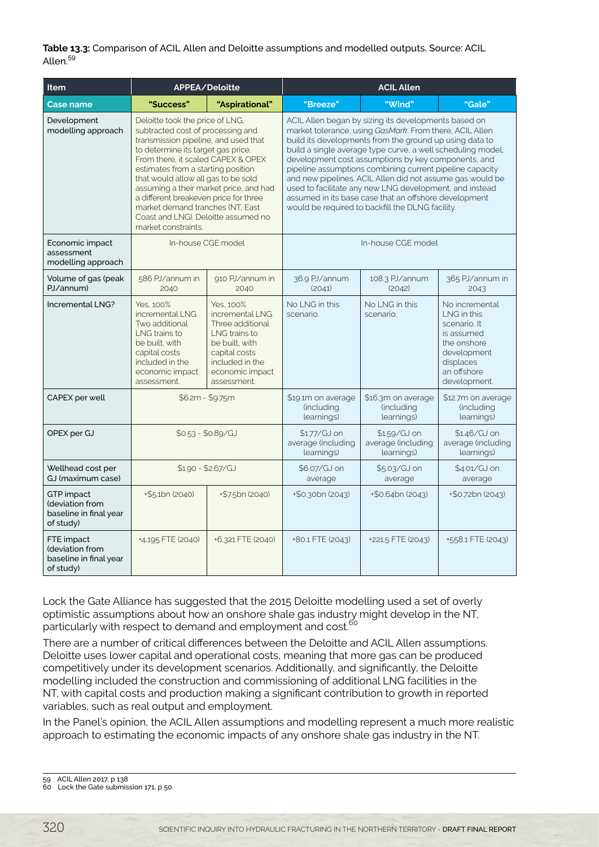#### **Table 13.3:** Comparison of ACIL Allen and Deloitte assumptions and modelled outputs. Source: ACIL Allen.59

| Item                                                                 |                                                                                                                                                                                                                                                                                                                                                                                                                                                            | APPEA/Deloitte                                                                                                                                             | <b>ACIL Allen</b>                                                                                                                                                                                                                                                                                                                                                                                                                                                                                                                                                                                 |                                                  |                                                                                                                                       |  |
|----------------------------------------------------------------------|------------------------------------------------------------------------------------------------------------------------------------------------------------------------------------------------------------------------------------------------------------------------------------------------------------------------------------------------------------------------------------------------------------------------------------------------------------|------------------------------------------------------------------------------------------------------------------------------------------------------------|---------------------------------------------------------------------------------------------------------------------------------------------------------------------------------------------------------------------------------------------------------------------------------------------------------------------------------------------------------------------------------------------------------------------------------------------------------------------------------------------------------------------------------------------------------------------------------------------------|--------------------------------------------------|---------------------------------------------------------------------------------------------------------------------------------------|--|
| <b>Case name</b>                                                     | "Success"                                                                                                                                                                                                                                                                                                                                                                                                                                                  | "Aspirational"                                                                                                                                             | "Breeze"                                                                                                                                                                                                                                                                                                                                                                                                                                                                                                                                                                                          | "Wind"                                           | "Gale"                                                                                                                                |  |
| Development<br>modelling approach                                    | Deloitte took the price of LNG,<br>subtracted cost of processing and<br>transmission pipeline, and used that<br>to determine its target gas price.<br>From there, it scaled CAPEX & OPEX<br>estimates from a starting position<br>that would allow all gas to be sold<br>assuming a their market price, and had<br>a different breakeven price for three<br>market demand tranches (NT, East<br>Coast and LNG). Deloitte assumed no<br>market constraints. |                                                                                                                                                            | ACIL Allen began by sizing its developments based on<br>market tolerance, using GasMark. From there, ACIL Allen<br>build its developments from the ground up using data to<br>build a single average type curve, a well scheduling model,<br>development cost assumptions by key components, and<br>pipeline assumptions combining current pipeline capacity<br>and new pipelines. ACIL Allen did not assume gas would be<br>used to facilitate any new LNG development, and instead<br>assumed in its base case that an offshore development<br>would be required to backfill the DLNG facility. |                                                  |                                                                                                                                       |  |
| Economic impact<br>assessment<br>modelling approach                  |                                                                                                                                                                                                                                                                                                                                                                                                                                                            | In-house CGE model                                                                                                                                         |                                                                                                                                                                                                                                                                                                                                                                                                                                                                                                                                                                                                   | In-house CGE model                               |                                                                                                                                       |  |
| Volume of gas (peak<br>PJ/annum)                                     | 586 PJ/annum in<br>2040                                                                                                                                                                                                                                                                                                                                                                                                                                    | 910 PJ/annum in<br>2040                                                                                                                                    | 36.9 PJ/annum<br>(2041)                                                                                                                                                                                                                                                                                                                                                                                                                                                                                                                                                                           | 108.3 PJ/annum<br>(2042)                         | 365 PJ/annum in<br>2043                                                                                                               |  |
| Incremental LNG?                                                     | Yes. 100%<br>incremental LNG.<br>Two additional<br>LNG trains to<br>be built, with<br>capital costs<br>included in the<br>economic impact<br>assessment.                                                                                                                                                                                                                                                                                                   | Yes. 100%<br>incremental LNG.<br>Three additional<br>LNG trains to<br>be built, with<br>capital costs<br>included in the<br>economic impact<br>assessment. | No I NG in this<br>scenario.                                                                                                                                                                                                                                                                                                                                                                                                                                                                                                                                                                      | No I NG in this<br>scenario.                     | No incremental<br>LNG in this<br>scenario. It<br>is assumed<br>the onshore<br>development<br>displaces<br>an offshore<br>development. |  |
| CAPEX per well                                                       |                                                                                                                                                                                                                                                                                                                                                                                                                                                            | $$6.2m - $9.75m$                                                                                                                                           | \$19.1m on average<br>(including<br>learnings)                                                                                                                                                                                                                                                                                                                                                                                                                                                                                                                                                    | \$16.3m on average<br>(including<br>learnings)   | \$12.7m on average<br>(including<br>learnings)                                                                                        |  |
| OPEX per GJ                                                          | $$0.53 - $0.89/GJ$                                                                                                                                                                                                                                                                                                                                                                                                                                         |                                                                                                                                                            | \$1.77/GJ on<br>average (including<br>learnings)                                                                                                                                                                                                                                                                                                                                                                                                                                                                                                                                                  | \$1.59/GJ on<br>average (including<br>learnings) | \$1.46/GJ on<br>average (including<br>learnings)                                                                                      |  |
| Wellhead cost per<br>GJ (maximum case)                               |                                                                                                                                                                                                                                                                                                                                                                                                                                                            | $$1.90 - $2.67/G$                                                                                                                                          | \$6.07/GJ on<br>average                                                                                                                                                                                                                                                                                                                                                                                                                                                                                                                                                                           | \$5.03/GJ on<br>average                          | \$4.01/GJ on<br>average                                                                                                               |  |
| GTP impact<br>(deviation from<br>baseline in final year<br>of study) | $+$ \$5.1bn (2040)                                                                                                                                                                                                                                                                                                                                                                                                                                         | +\$7.5bn (2040)                                                                                                                                            | +\$0.30bn (2043)                                                                                                                                                                                                                                                                                                                                                                                                                                                                                                                                                                                  | $+$ \$0.64bn (2043)                              | +\$0.72bn (2043)                                                                                                                      |  |
| FTE impact<br>(deviation from<br>baseline in final year<br>of study) | +4,195 FTE (2040)                                                                                                                                                                                                                                                                                                                                                                                                                                          | +6,321 FTE (2040)                                                                                                                                          | +80.1 FTE (2043)                                                                                                                                                                                                                                                                                                                                                                                                                                                                                                                                                                                  | +221.5 FTE (2043)                                | +558.1 FTE (2043)                                                                                                                     |  |

Lock the Gate Alliance has suggested that the 2015 Deloitte modelling used a set of overly optimistic assumptions about how an onshore shale gas industry might develop in the NT, particularly with respect to demand and employment and cost.<sup>60</sup>

There are a number of critical differences between the Deloitte and ACIL Allen assumptions. Deloitte uses lower capital and operational costs, meaning that more gas can be produced competitively under its development scenarios. Additionally, and significantly, the Deloitte modelling included the construction and commissioning of additional LNG facilities in the NT, with capital costs and production making a significant contribution to growth in reported variables, such as real output and employment.

In the Panel's opinion, the ACIL Allen assumptions and modelling represent a much more realistic approach to estimating the economic impacts of any onshore shale gas industry in the NT.

<sup>59</sup> ACIL Allen 2017, p 138

<sup>60</sup> Lock the Gate submission 171, p 50.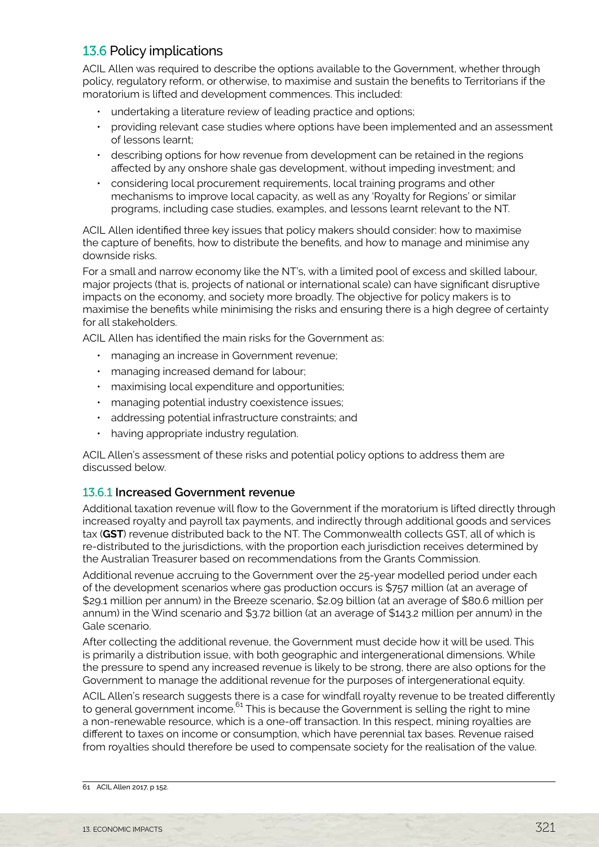# <span id="page-18-0"></span>13.6 Policy implications

ACIL Allen was required to describe the options available to the Government, whether through policy, regulatory reform, or otherwise, to maximise and sustain the benefits to Territorians if the moratorium is lifted and development commences. This included:

- undertaking a literature review of leading practice and options;
- providing relevant case studies where options have been implemented and an assessment of lessons learnt;
- describing options for how revenue from development can be retained in the regions affected by any onshore shale gas development, without impeding investment; and
- considering local procurement requirements, local training programs and other mechanisms to improve local capacity, as well as any 'Royalty for Regions' or similar programs, including case studies, examples, and lessons learnt relevant to the NT.

ACIL Allen identified three key issues that policy makers should consider: how to maximise the capture of benefits, how to distribute the benefits, and how to manage and minimise any downside risks.

For a small and narrow economy like the NT's, with a limited pool of excess and skilled labour, major projects (that is, projects of national or international scale) can have significant disruptive impacts on the economy, and society more broadly. The objective for policy makers is to maximise the benefits while minimising the risks and ensuring there is a high degree of certainty for all stakeholders.

ACIL Allen has identified the main risks for the Government as:

- managing an increase in Government revenue;
- managing increased demand for labour;
- maximising local expenditure and opportunities;
- managing potential industry coexistence issues;
- addressing potential infrastructure constraints; and
- having appropriate industry regulation.

ACIL Allen's assessment of these risks and potential policy options to address them are discussed below.

# 13.6.1 **Increased Government revenue**

Additional taxation revenue will flow to the Government if the moratorium is lifted directly through increased royalty and payroll tax payments, and indirectly through additional goods and services tax (**GST**) revenue distributed back to the NT. The Commonwealth collects GST, all of which is re-distributed to the jurisdictions, with the proportion each jurisdiction receives determined by the Australian Treasurer based on recommendations from the Grants Commission.

Additional revenue accruing to the Government over the 25-year modelled period under each of the development scenarios where gas production occurs is \$757 million (at an average of \$29.1 million per annum) in the Breeze scenario, \$2.09 billion (at an average of \$80.6 million per annum) in the Wind scenario and \$3.72 billion (at an average of \$143.2 million per annum) in the Gale scenario.

After collecting the additional revenue, the Government must decide how it will be used. This is primarily a distribution issue, with both geographic and intergenerational dimensions. While the pressure to spend any increased revenue is likely to be strong, there are also options for the Government to manage the additional revenue for the purposes of intergenerational equity.

ACIL Allen's research suggests there is a case for windfall royalty revenue to be treated differently to general government income.<sup>61</sup> This is because the Government is selling the right to mine a non-renewable resource, which is a one-off transaction. In this respect, mining royalties are different to taxes on income or consumption, which have perennial tax bases. Revenue raised from royalties should therefore be used to compensate society for the realisation of the value.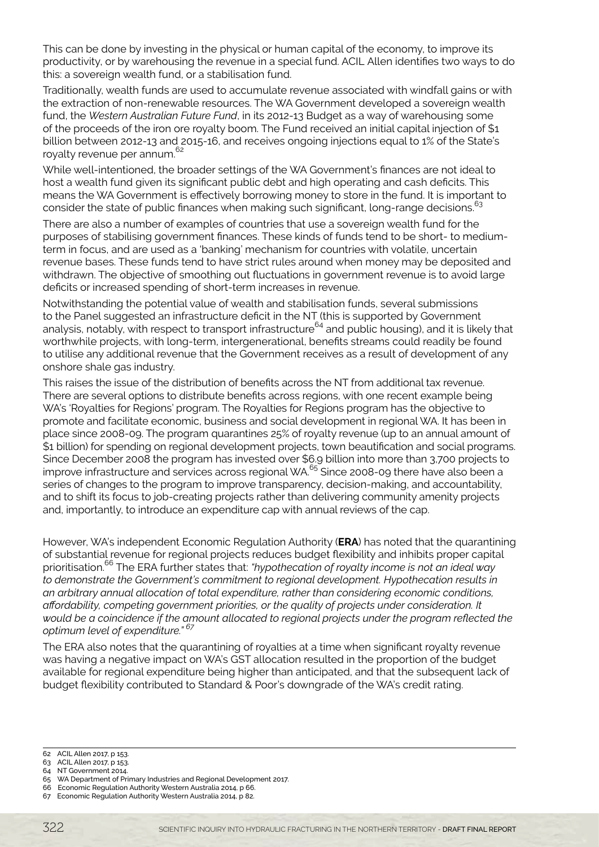This can be done by investing in the physical or human capital of the economy, to improve its productivity, or by warehousing the revenue in a special fund. ACIL Allen identifies two ways to do this: a sovereign wealth fund, or a stabilisation fund.

Traditionally, wealth funds are used to accumulate revenue associated with windfall gains or with the extraction of non-renewable resources. The WA Government developed a sovereign wealth fund, the *Western Australian Future Fund*, in its 2012-13 Budget as a way of warehousing some of the proceeds of the iron ore royalty boom. The Fund received an initial capital injection of \$1 billion between 2012-13 and 2015-16, and receives ongoing injections equal to 1% of the State's royalty revenue per annum.<sup>62</sup>

While well-intentioned, the broader settings of the WA Government's finances are not ideal to host a wealth fund given its significant public debt and high operating and cash deficits. This means the WA Government is effectively borrowing money to store in the fund. It is important to consider the state of public finances when making such significant, long-range decisions.<sup>63</sup>

There are also a number of examples of countries that use a sovereign wealth fund for the purposes of stabilising government finances. These kinds of funds tend to be short- to mediumterm in focus, and are used as a 'banking' mechanism for countries with volatile, uncertain revenue bases. These funds tend to have strict rules around when money may be deposited and withdrawn. The objective of smoothing out fluctuations in government revenue is to avoid large deficits or increased spending of short-term increases in revenue.

Notwithstanding the potential value of wealth and stabilisation funds, several submissions to the Panel suggested an infrastructure deficit in the NT (this is supported by Government analysis, notably, with respect to transport infrastructure<sup>64</sup> and public housing), and it is likely that worthwhile projects, with long-term, intergenerational, benefits streams could readily be found to utilise any additional revenue that the Government receives as a result of development of any onshore shale gas industry.

This raises the issue of the distribution of benefits across the NT from additional tax revenue. There are several options to distribute benefits across regions, with one recent example being WA's 'Royalties for Regions' program. The Royalties for Regions program has the objective to promote and facilitate economic, business and social development in regional WA. It has been in place since 2008-09. The program quarantines 25% of royalty revenue (up to an annual amount of \$1 billion) for spending on regional development projects, town beautification and social programs. Since December 2008 the program has invested over \$6.9 billion into more than 3,700 projects to improve infrastructure and services across regional WA.65 Since 2008-09 there have also been a series of changes to the program to improve transparency, decision-making, and accountability, and to shift its focus to job-creating projects rather than delivering community amenity projects and, importantly, to introduce an expenditure cap with annual reviews of the cap.

However, WA's independent Economic Regulation Authority (**ERA**) has noted that the quarantining of substantial revenue for regional projects reduces budget flexibility and inhibits proper capital prioritisation.66 The ERA further states that: *"hypothecation of royalty income is not an ideal way to demonstrate the Government's commitment to regional development. Hypothecation results in an arbitrary annual allocation of total expenditure, rather than considering economic conditions, affordability, competing government priorities, or the quality of projects under consideration. It would be a coincidence if the amount allocated to regional projects under the program reflected the optimum level of expenditure." <sup>67</sup>*

The ERA also notes that the quarantining of royalties at a time when significant royalty revenue was having a negative impact on WA's GST allocation resulted in the proportion of the budget available for regional expenditure being higher than anticipated, and that the subsequent lack of budget flexibility contributed to Standard & Poor's downgrade of the WA's credit rating.

<sup>62</sup> ACIL Allen 2017, p 153.

<sup>63</sup> ACIL Allen 2017, p 153.

<sup>64</sup> NT Government 2014.

<sup>65</sup> WA Department of Primary Industries and Regional Development 2017.

<sup>66</sup> Economic Regulation Authority Western Australia 2014, p 66. 67 Economic Regulation Authority Western Australia 2014, p 82.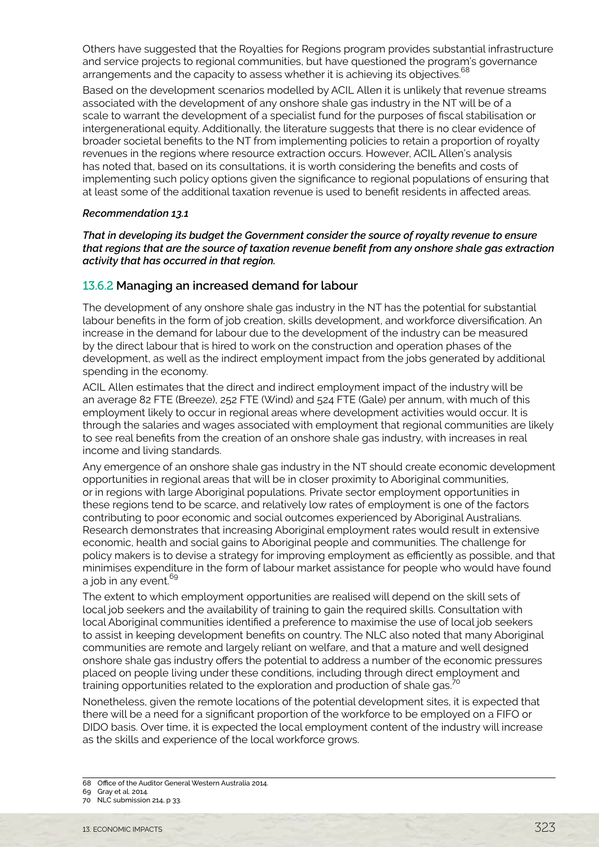Others have suggested that the Royalties for Regions program provides substantial infrastructure and service projects to regional communities, but have questioned the program's governance arrangements and the capacity to assess whether it is achieving its objectives.<sup>68</sup>

Based on the development scenarios modelled by ACIL Allen it is unlikely that revenue streams associated with the development of any onshore shale gas industry in the NT will be of a scale to warrant the development of a specialist fund for the purposes of fiscal stabilisation or intergenerational equity. Additionally, the literature suggests that there is no clear evidence of broader societal benefits to the NT from implementing policies to retain a proportion of royalty revenues in the regions where resource extraction occurs. However, ACIL Allen's analysis has noted that, based on its consultations, it is worth considering the benefits and costs of implementing such policy options given the significance to regional populations of ensuring that at least some of the additional taxation revenue is used to benefit residents in affected areas.

#### *Recommendation 13.1*

*That in developing its budget the Government consider the source of royalty revenue to ensure that regions that are the source of taxation revenue benefit from any onshore shale gas extraction activity that has occurred in that region.*

#### 13.6.2 **Managing an increased demand for labour**

The development of any onshore shale gas industry in the NT has the potential for substantial labour benefits in the form of job creation, skills development, and workforce diversification. An increase in the demand for labour due to the development of the industry can be measured by the direct labour that is hired to work on the construction and operation phases of the development, as well as the indirect employment impact from the jobs generated by additional spending in the economy.

ACIL Allen estimates that the direct and indirect employment impact of the industry will be an average 82 FTE (Breeze), 252 FTE (Wind) and 524 FTE (Gale) per annum, with much of this employment likely to occur in regional areas where development activities would occur. It is through the salaries and wages associated with employment that regional communities are likely to see real benefits from the creation of an onshore shale gas industry, with increases in real income and living standards.

Any emergence of an onshore shale gas industry in the NT should create economic development opportunities in regional areas that will be in closer proximity to Aboriginal communities, or in regions with large Aboriginal populations. Private sector employment opportunities in these regions tend to be scarce, and relatively low rates of employment is one of the factors contributing to poor economic and social outcomes experienced by Aboriginal Australians. Research demonstrates that increasing Aboriginal employment rates would result in extensive economic, health and social gains to Aboriginal people and communities. The challenge for policy makers is to devise a strategy for improving employment as efficiently as possible, and that minimises expenditure in the form of labour market assistance for people who would have found a job in any event.<sup>69</sup>

The extent to which employment opportunities are realised will depend on the skill sets of local job seekers and the availability of training to gain the required skills. Consultation with local Aboriginal communities identified a preference to maximise the use of local job seekers to assist in keeping development benefits on country. The NLC also noted that many Aboriginal communities are remote and largely reliant on welfare, and that a mature and well designed onshore shale gas industry offers the potential to address a number of the economic pressures placed on people living under these conditions, including through direct employment and training opportunities related to the exploration and production of shale gas.<sup>70</sup>

Nonetheless, given the remote locations of the potential development sites, it is expected that there will be a need for a significant proportion of the workforce to be employed on a FIFO or DIDO basis. Over time, it is expected the local employment content of the industry will increase as the skills and experience of the local workforce grows.

<sup>68</sup> Office of the Auditor General Western Australia 2014.

<sup>69</sup> Gray et al. 2014.

<sup>70</sup> NLC submission 214, p 33.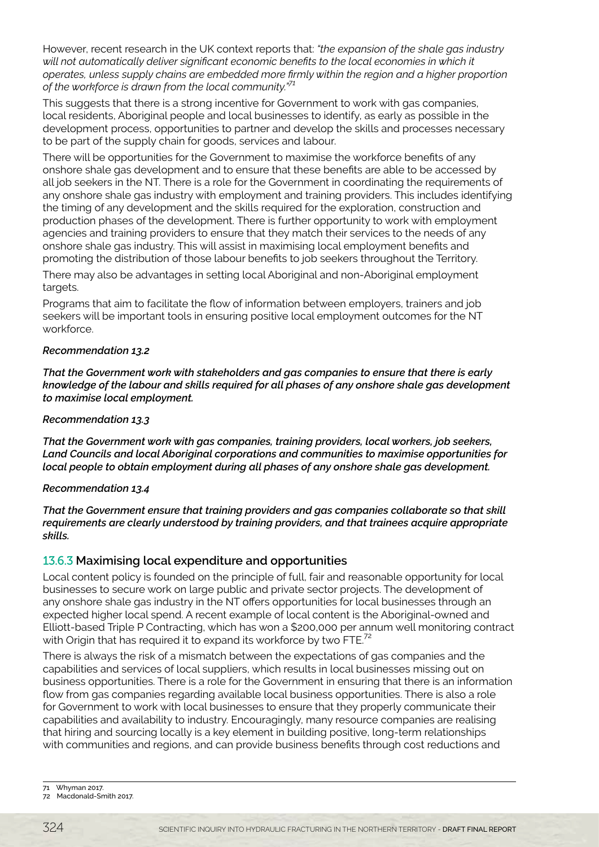However, recent research in the UK context reports that: *"the expansion of the shale gas industry will not automatically deliver significant economic benefits to the local economies in which it operates, unless supply chains are embedded more firmly within the region and a higher proportion of the workforce is drawn from the local community."71*

This suggests that there is a strong incentive for Government to work with gas companies, local residents, Aboriginal people and local businesses to identify, as early as possible in the development process, opportunities to partner and develop the skills and processes necessary to be part of the supply chain for goods, services and labour.

There will be opportunities for the Government to maximise the workforce benefits of any onshore shale gas development and to ensure that these benefits are able to be accessed by all job seekers in the NT. There is a role for the Government in coordinating the requirements of any onshore shale gas industry with employment and training providers. This includes identifying the timing of any development and the skills required for the exploration, construction and production phases of the development. There is further opportunity to work with employment agencies and training providers to ensure that they match their services to the needs of any onshore shale gas industry. This will assist in maximising local employment benefits and promoting the distribution of those labour benefits to job seekers throughout the Territory.

There may also be advantages in setting local Aboriginal and non-Aboriginal employment targets.

Programs that aim to facilitate the flow of information between employers, trainers and job seekers will be important tools in ensuring positive local employment outcomes for the NT workforce.

#### *Recommendation 13.2*

*That the Government work with stakeholders and gas companies to ensure that there is early knowledge of the labour and skills required for all phases of any onshore shale gas development to maximise local employment.*

#### *Recommendation 13.3*

*That the Government work with gas companies, training providers, local workers, job seekers, Land Councils and local Aboriginal corporations and communities to maximise opportunities for local people to obtain employment during all phases of any onshore shale gas development.* 

#### *Recommendation 13.4*

*That the Government ensure that training providers and gas companies collaborate so that skill requirements are clearly understood by training providers, and that trainees acquire appropriate skills.*

# 13.6.3 **Maximising local expenditure and opportunities**

Local content policy is founded on the principle of full, fair and reasonable opportunity for local businesses to secure work on large public and private sector projects. The development of any onshore shale gas industry in the NT offers opportunities for local businesses through an expected higher local spend. A recent example of local content is the Aboriginal-owned and Elliott-based Triple P Contracting, which has won a \$200,000 per annum well monitoring contract with Origin that has required it to expand its workforce by two FTE. $^2$ 

There is always the risk of a mismatch between the expectations of gas companies and the capabilities and services of local suppliers, which results in local businesses missing out on business opportunities. There is a role for the Government in ensuring that there is an information flow from gas companies regarding available local business opportunities. There is also a role for Government to work with local businesses to ensure that they properly communicate their capabilities and availability to industry. Encouragingly, many resource companies are realising that hiring and sourcing locally is a key element in building positive, long-term relationships with communities and regions, and can provide business benefits through cost reductions and

<sup>71</sup> Whyman 2017.

<sup>72</sup> Macdonald-Smith 2017.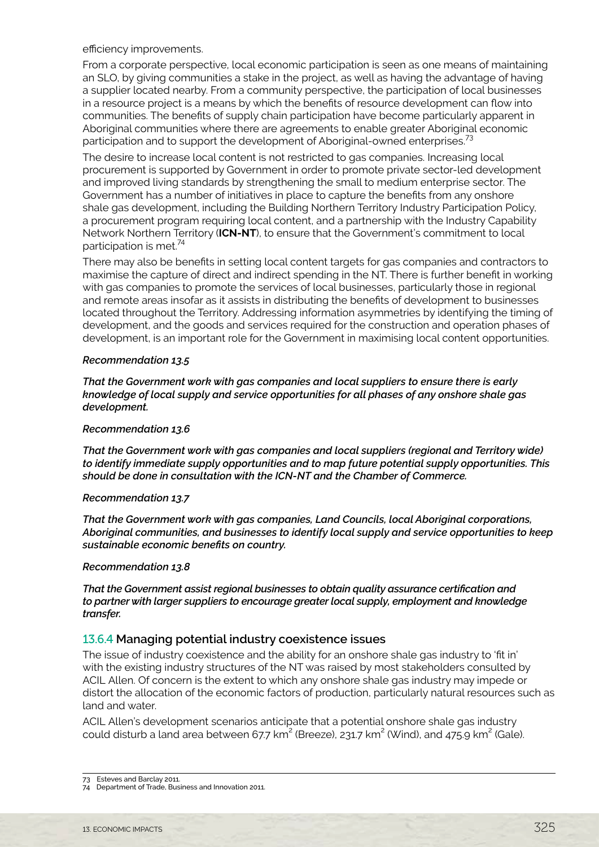efficiency improvements.

From a corporate perspective, local economic participation is seen as one means of maintaining an SLO, by giving communities a stake in the project, as well as having the advantage of having a supplier located nearby. From a community perspective, the participation of local businesses in a resource project is a means by which the benefits of resource development can flow into communities. The benefits of supply chain participation have become particularly apparent in Aboriginal communities where there are agreements to enable greater Aboriginal economic participation and to support the development of Aboriginal-owned enterprises.<sup>73</sup>

The desire to increase local content is not restricted to gas companies. Increasing local procurement is supported by Government in order to promote private sector-led development and improved living standards by strengthening the small to medium enterprise sector. The Government has a number of initiatives in place to capture the benefits from any onshore shale gas development, including the Building Northern Territory Industry Participation Policy, a procurement program requiring local content, and a partnership with the Industry Capability Network Northern Territory (**ICN-NT**), to ensure that the Government's commitment to local participation is met.<sup>74</sup>

There may also be benefits in setting local content targets for gas companies and contractors to maximise the capture of direct and indirect spending in the NT. There is further benefit in working with gas companies to promote the services of local businesses, particularly those in regional and remote areas insofar as it assists in distributing the benefits of development to businesses located throughout the Territory. Addressing information asymmetries by identifying the timing of development, and the goods and services required for the construction and operation phases of development, is an important role for the Government in maximising local content opportunities.

#### *Recommendation 13.5*

*That the Government work with gas companies and local suppliers to ensure there is early knowledge of local supply and service opportunities for all phases of any onshore shale gas development.*

#### *Recommendation 13.6*

*That the Government work with gas companies and local suppliers (regional and Territory wide) to identify immediate supply opportunities and to map future potential supply opportunities. This should be done in consultation with the ICN-NT and the Chamber of Commerce.*

#### *Recommendation 13.7*

*That the Government work with gas companies, Land Councils, local Aboriginal corporations, Aboriginal communities, and businesses to identify local supply and service opportunities to keep sustainable economic benefits on country.*

#### *Recommendation 13.8*

*That the Government assist regional businesses to obtain quality assurance certification and to partner with larger suppliers to encourage greater local supply, employment and knowledge transfer.*

#### 13.6.4 **Managing potential industry coexistence issues**

The issue of industry coexistence and the ability for an onshore shale gas industry to 'fit in' with the existing industry structures of the NT was raised by most stakeholders consulted by ACIL Allen. Of concern is the extent to which any onshore shale gas industry may impede or distort the allocation of the economic factors of production, particularly natural resources such as land and water.

ACIL Allen's development scenarios anticipate that a potential onshore shale gas industry could disturb a land area between 67.7 km $^2$  (Breeze), 231.7 km $^2$  (Wind), and 475.9 km $^2$  (Gale).

<sup>73</sup> Esteves and Barclay 2011.

<sup>74</sup> Department of Trade, Business and Innovation 2011.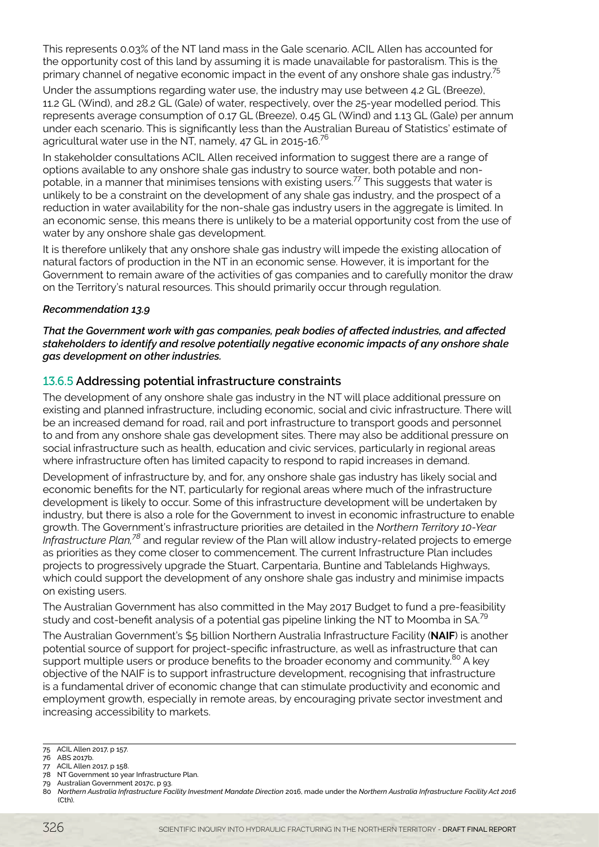This represents 0.03% of the NT land mass in the Gale scenario. ACIL Allen has accounted for the opportunity cost of this land by assuming it is made unavailable for pastoralism. This is the primary channel of negative economic impact in the event of any onshore shale gas industry.<sup>75</sup>

Under the assumptions regarding water use, the industry may use between 4.2 GL (Breeze), 11.2 GL (Wind), and 28.2 GL (Gale) of water, respectively, over the 25-year modelled period. This represents average consumption of 0.17 GL (Breeze), 0.45 GL (Wind) and 1.13 GL (Gale) per annum under each scenario. This is significantly less than the Australian Bureau of Statistics' estimate of agricultural water use in the NT, namely, 47 GL in 2015-16.<sup>76</sup>

In stakeholder consultations ACIL Allen received information to suggest there are a range of options available to any onshore shale gas industry to source water, both potable and nonpotable, in a manner that minimises tensions with existing users.77 This suggests that water is unlikely to be a constraint on the development of any shale gas industry, and the prospect of a reduction in water availability for the non-shale gas industry users in the aggregate is limited. In an economic sense, this means there is unlikely to be a material opportunity cost from the use of water by any onshore shale gas development.

It is therefore unlikely that any onshore shale gas industry will impede the existing allocation of natural factors of production in the NT in an economic sense. However, it is important for the Government to remain aware of the activities of gas companies and to carefully monitor the draw on the Territory's natural resources. This should primarily occur through regulation.

#### *Recommendation 13.9*

*That the Government work with gas companies, peak bodies of affected industries, and affected stakeholders to identify and resolve potentially negative economic impacts of any onshore shale gas development on other industries.*

# 13.6.5 **Addressing potential infrastructure constraints**

The development of any onshore shale gas industry in the NT will place additional pressure on existing and planned infrastructure, including economic, social and civic infrastructure. There will be an increased demand for road, rail and port infrastructure to transport goods and personnel to and from any onshore shale gas development sites. There may also be additional pressure on social infrastructure such as health, education and civic services, particularly in regional areas where infrastructure often has limited capacity to respond to rapid increases in demand.

Development of infrastructure by, and for, any onshore shale gas industry has likely social and economic benefits for the NT, particularly for regional areas where much of the infrastructure development is likely to occur. Some of this infrastructure development will be undertaken by industry, but there is also a role for the Government to invest in economic infrastructure to enable growth. The Government's infrastructure priorities are detailed in the *Northern Territory 10-Year Infrastructure Plan,78* and regular review of the Plan will allow industry-related projects to emerge as priorities as they come closer to commencement. The current Infrastructure Plan includes projects to progressively upgrade the Stuart, Carpentaria, Buntine and Tablelands Highways, which could support the development of any onshore shale gas industry and minimise impacts on existing users.

The Australian Government has also committed in the May 2017 Budget to fund a pre-feasibility study and cost-benefit analysis of a potential gas pipeline linking the NT to Moomba in SA.<sup>79</sup>

The Australian Government's \$5 billion Northern Australia Infrastructure Facility (**NAIF**) is another potential source of support for project-specific infrastructure, as well as infrastructure that can support multiple users or produce benefits to the broader economy and community.<sup>80</sup> A key objective of the NAIF is to support infrastructure development, recognising that infrastructure is a fundamental driver of economic change that can stimulate productivity and economic and employment growth, especially in remote areas, by encouraging private sector investment and increasing accessibility to markets.

<sup>75</sup> ACIL Allen 2017, p 157.

<sup>76</sup> ABS 2017b.

<sup>77</sup> ACIL Allen 2017, p 158. 78 NT Government 10 year Infrastructure Plan.

<sup>79</sup> Australian Government 2017c, p 93.

<sup>80</sup> *Northern Australia Infrastructure Facility Investment Mandate Direction* 2016, made under the *Northern Australia Infrastructure Facility Act 2016* (Cth).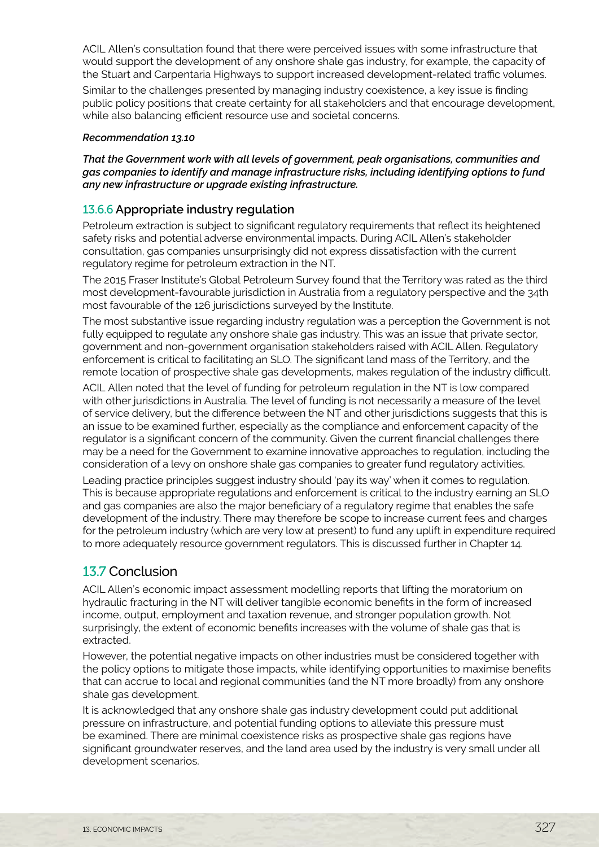<span id="page-24-0"></span>ACIL Allen's consultation found that there were perceived issues with some infrastructure that would support the development of any onshore shale gas industry, for example, the capacity of the Stuart and Carpentaria Highways to support increased development-related traffic volumes.

Similar to the challenges presented by managing industry coexistence, a key issue is finding public policy positions that create certainty for all stakeholders and that encourage development, while also balancing efficient resource use and societal concerns.

#### *Recommendation 13.10*

*That the Government work with all levels of government, peak organisations, communities and gas companies to identify and manage infrastructure risks, including identifying options to fund any new infrastructure or upgrade existing infrastructure.*

# 13.6.6 **Appropriate industry regulation**

Petroleum extraction is subject to significant regulatory requirements that reflect its heightened safety risks and potential adverse environmental impacts. During ACIL Allen's stakeholder consultation, gas companies unsurprisingly did not express dissatisfaction with the current regulatory regime for petroleum extraction in the NT.

The 2015 Fraser Institute's Global Petroleum Survey found that the Territory was rated as the third most development-favourable jurisdiction in Australia from a regulatory perspective and the 34th most favourable of the 126 jurisdictions surveyed by the Institute.

The most substantive issue regarding industry regulation was a perception the Government is not fully equipped to regulate any onshore shale gas industry. This was an issue that private sector, government and non-government organisation stakeholders raised with ACIL Allen. Regulatory enforcement is critical to facilitating an SLO. The significant land mass of the Territory, and the remote location of prospective shale gas developments, makes regulation of the industry difficult.

ACIL Allen noted that the level of funding for petroleum regulation in the NT is low compared with other jurisdictions in Australia. The level of funding is not necessarily a measure of the level of service delivery, but the difference between the NT and other jurisdictions suggests that this is an issue to be examined further, especially as the compliance and enforcement capacity of the regulator is a significant concern of the community. Given the current financial challenges there may be a need for the Government to examine innovative approaches to regulation, including the consideration of a levy on onshore shale gas companies to greater fund regulatory activities.

Leading practice principles suggest industry should 'pay its way' when it comes to regulation. This is because appropriate regulations and enforcement is critical to the industry earning an SLO and gas companies are also the major beneficiary of a regulatory regime that enables the safe development of the industry. There may therefore be scope to increase current fees and charges for the petroleum industry (which are very low at present) to fund any uplift in expenditure required to more adequately resource government regulators. This is discussed further in Chapter 14.

# 13.7 Conclusion

ACIL Allen's economic impact assessment modelling reports that lifting the moratorium on hydraulic fracturing in the NT will deliver tangible economic benefits in the form of increased income, output, employment and taxation revenue, and stronger population growth. Not surprisingly, the extent of economic benefits increases with the volume of shale gas that is extracted.

However, the potential negative impacts on other industries must be considered together with the policy options to mitigate those impacts, while identifying opportunities to maximise benefits that can accrue to local and regional communities (and the NT more broadly) from any onshore shale gas development.

It is acknowledged that any onshore shale gas industry development could put additional pressure on infrastructure, and potential funding options to alleviate this pressure must be examined. There are minimal coexistence risks as prospective shale gas regions have significant groundwater reserves, and the land area used by the industry is very small under all development scenarios.